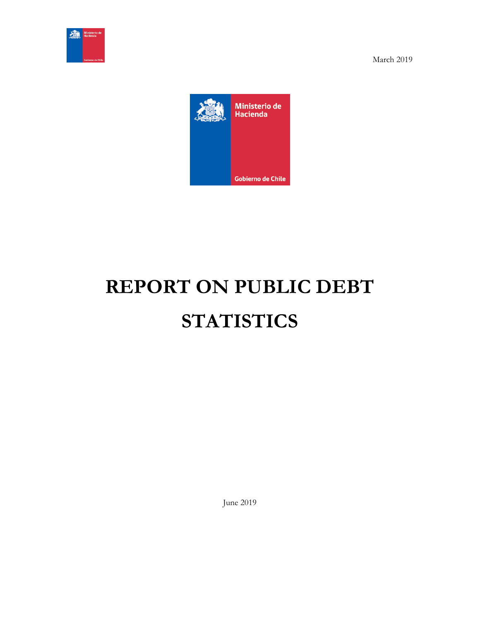



# **REPORT ON PUBLIC DEBT STATISTICS**

June 2019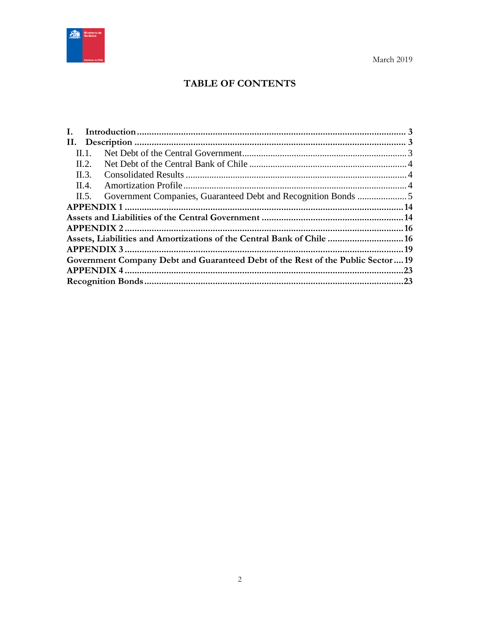

## **TABLE OF CONTENTS**

| II.4.                                                                          |  |
|--------------------------------------------------------------------------------|--|
|                                                                                |  |
|                                                                                |  |
|                                                                                |  |
|                                                                                |  |
| Assets, Liabilities and Amortizations of the Central Bank of Chile  16         |  |
|                                                                                |  |
| Government Company Debt and Guaranteed Debt of the Rest of the Public Sector19 |  |
|                                                                                |  |
|                                                                                |  |
|                                                                                |  |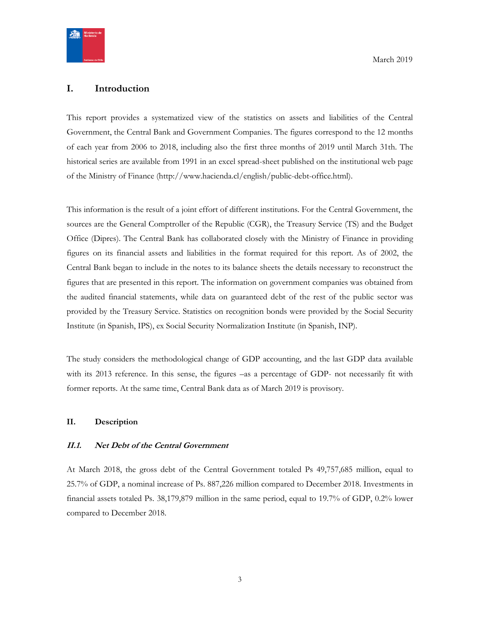

#### <span id="page-2-0"></span>**I. Introduction**

This report provides a systematized view of the statistics on assets and liabilities of the Central Government, the Central Bank and Government Companies. The figures correspond to the 12 months of each year from 2006 to 2018, including also the first three months of 2019 until March 31th. The historical series are available from 1991 in an excel spread-sheet published on the institutional web page of the Ministry of Finance (http://www.hacienda.cl/english/public-debt-office.html).

This information is the result of a joint effort of different institutions. For the Central Government, the sources are the General Comptroller of the Republic (CGR), the Treasury Service (TS) and the Budget Office (Dipres). The Central Bank has collaborated closely with the Ministry of Finance in providing figures on its financial assets and liabilities in the format required for this report. As of 2002, the Central Bank began to include in the notes to its balance sheets the details necessary to reconstruct the figures that are presented in this report. The information on government companies was obtained from the audited financial statements, while data on guaranteed debt of the rest of the public sector was provided by the Treasury Service. Statistics on recognition bonds were provided by the Social Security Institute (in Spanish, IPS), ex Social Security Normalization Institute (in Spanish, INP).

The study considers the methodological change of GDP accounting, and the last GDP data available with its 2013 reference. In this sense, the figures –as a percentage of GDP- not necessarily fit with former reports. At the same time, Central Bank data as of March 2019 is provisory.

#### <span id="page-2-1"></span>**II. Description**

#### <span id="page-2-2"></span>**II.1. Net Debt of the Central Government**

At March 2018, the gross debt of the Central Government totaled Ps 49,757,685 million, equal to 25.7% of GDP, a nominal increase of Ps. 887,226 million compared to December 2018. Investments in financial assets totaled Ps. 38,179,879 million in the same period, equal to 19.7% of GDP, 0.2% lower compared to December 2018.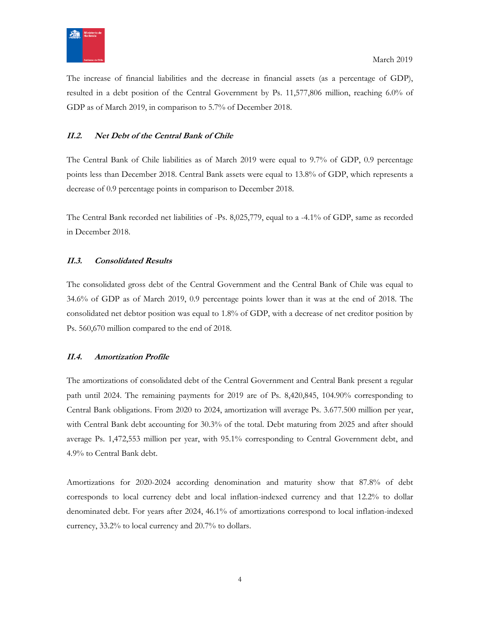

The increase of financial liabilities and the decrease in financial assets (as a percentage of GDP), resulted in a debt position of the Central Government by Ps. 11,577,806 million, reaching 6.0% of GDP as of March 2019, in comparison to 5.7% of December 2018.

#### <span id="page-3-0"></span>**II.2. Net Debt of the Central Bank of Chile**

The Central Bank of Chile liabilities as of March 2019 were equal to 9.7% of GDP, 0.9 percentage points less than December 2018. Central Bank assets were equal to 13.8% of GDP, which represents a decrease of 0.9 percentage points in comparison to December 2018.

The Central Bank recorded net liabilities of -Ps. 8,025,779, equal to a -4.1% of GDP, same as recorded in December 2018.

#### <span id="page-3-1"></span>**II.3. Consolidated Results**

The consolidated gross debt of the Central Government and the Central Bank of Chile was equal to 34.6% of GDP as of March 2019, 0.9 percentage points lower than it was at the end of 2018. The consolidated net debtor position was equal to 1.8% of GDP, with a decrease of net creditor position by Ps. 560,670 million compared to the end of 2018.

#### <span id="page-3-2"></span>**II.4. Amortization Profile**

The amortizations of consolidated debt of the Central Government and Central Bank present a regular path until 2024. The remaining payments for 2019 are of Ps. 8,420,845, 104.90% corresponding to Central Bank obligations. From 2020 to 2024, amortization will average Ps. 3.677.500 million per year, with Central Bank debt accounting for 30.3% of the total. Debt maturing from 2025 and after should average Ps. 1,472,553 million per year, with 95.1% corresponding to Central Government debt, and 4.9% to Central Bank debt.

Amortizations for 2020-2024 according denomination and maturity show that 87.8% of debt corresponds to local currency debt and local inflation-indexed currency and that 12.2% to dollar denominated debt. For years after 2024, 46.1% of amortizations correspond to local inflation-indexed currency, 33.2% to local currency and 20.7% to dollars.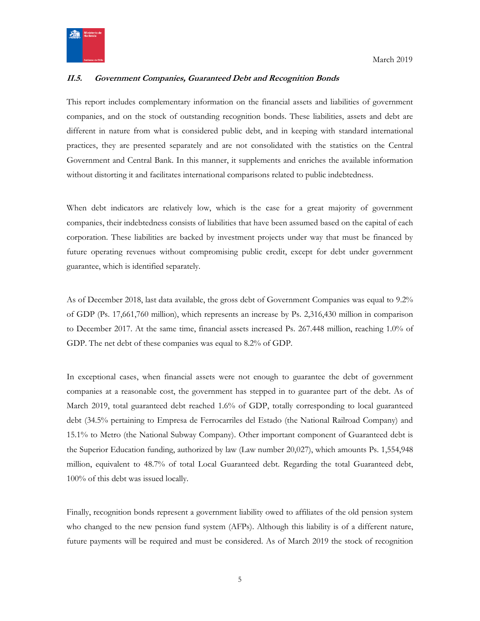

#### <span id="page-4-0"></span>**II.5. Government Companies, Guaranteed Debt and Recognition Bonds**

This report includes complementary information on the financial assets and liabilities of government companies, and on the stock of outstanding recognition bonds. These liabilities, assets and debt are different in nature from what is considered public debt, and in keeping with standard international practices, they are presented separately and are not consolidated with the statistics on the Central Government and Central Bank. In this manner, it supplements and enriches the available information without distorting it and facilitates international comparisons related to public indebtedness.

When debt indicators are relatively low, which is the case for a great majority of government companies, their indebtedness consists of liabilities that have been assumed based on the capital of each corporation. These liabilities are backed by investment projects under way that must be financed by future operating revenues without compromising public credit, except for debt under government guarantee, which is identified separately.

As of December 2018, last data available, the gross debt of Government Companies was equal to 9.2% of GDP (Ps. 17,661,760 million), which represents an increase by Ps. 2,316,430 million in comparison to December 2017. At the same time, financial assets increased Ps. 267.448 million, reaching 1.0% of GDP. The net debt of these companies was equal to 8.2% of GDP.

In exceptional cases, when financial assets were not enough to guarantee the debt of government companies at a reasonable cost, the government has stepped in to guarantee part of the debt. As of March 2019, total guaranteed debt reached 1.6% of GDP, totally corresponding to local guaranteed debt (34.5% pertaining to Empresa de Ferrocarriles del Estado (the National Railroad Company) and 15.1% to Metro (the National Subway Company). Other important component of Guaranteed debt is the Superior Education funding, authorized by law (Law number 20,027), which amounts Ps. 1,554,948 million, equivalent to 48.7% of total Local Guaranteed debt. Regarding the total Guaranteed debt, 100% of this debt was issued locally.

Finally, recognition bonds represent a government liability owed to affiliates of the old pension system who changed to the new pension fund system (AFPs). Although this liability is of a different nature, future payments will be required and must be considered. As of March 2019 the stock of recognition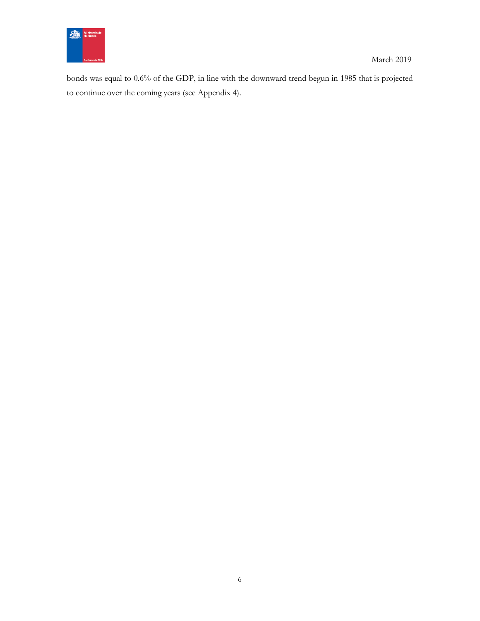

bonds was equal to 0.6% of the GDP, in line with the downward trend begun in 1985 that is projected to continue over the coming years (see Appendix 4).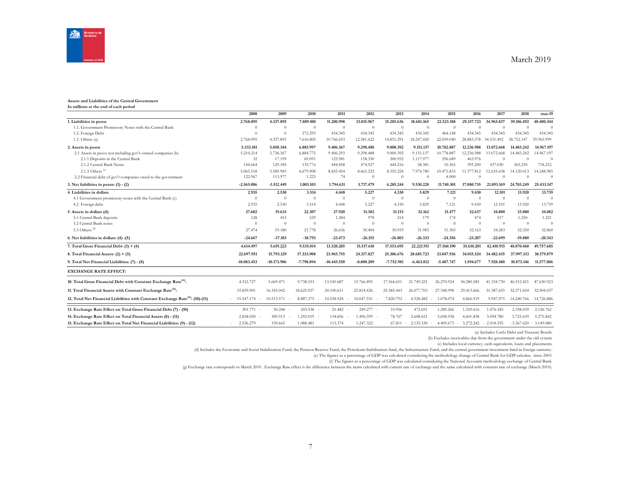

| Assets and Liabilities of the Central Government<br>In millions at the end of each period  |                      |               |                |               |              |              |                     |              |                     |            |                |                          |
|--------------------------------------------------------------------------------------------|----------------------|---------------|----------------|---------------|--------------|--------------|---------------------|--------------|---------------------|------------|----------------|--------------------------|
|                                                                                            | 2008                 | 2009          | 2010           | 2011          | 2012         | 2013         | 2014                | 2015         | 2016                | 2017       | 2018           | mar-19                   |
| 1. Liabilities in pesos                                                                    | 2.768.095            | 4.337.895     | 7.889.100      | 11.200.998    | 13.015.967   | 15.285.636   | 18.681.365          | 22.523.188   | 29.317.723          | 34.965.837 | 39.186.492     | 40.400.344               |
| 1.1. Government Promissory Notes with the Central Bank                                     | $\Omega$             | $\theta$      | $\overline{0}$ | $\theta$      | $\Omega$     | $\theta$     | $\theta$            | $\theta$     | $\Omega$            | $\Omega$   | $\theta$       | $\Omega$                 |
| 1.2. Foreign Debt                                                                          | $\Omega$             | $\theta$      | 272.295        | 434.345       | 434.345      | 434.345      | 434.345             | 464.148      | 434.345             | 434.345    | 434.345        | 434.345                  |
| 1.3. Others $(a)$                                                                          | 2.768.095            | 4.337.895     | 7.616.805      | 10.766.653    | 12.581.622   | 14.851.291   | 18.247.020          | 22.059.040   | 28.883.378          | 34.531.492 | 38.752.147     | 39.965.999               |
| 2. Assets in pesos                                                                         | 5.333.181            | 5.850.344     | 6.885.997      | 9.406.367     | 9.298.488    | 9.000.392    | 9.151.137           | 10.782.887   | 12.236.988          | 13.072.668 | 14.483.242     | 14.967.197               |
| 2.1 Assets in pesos not including gov't-owned companies (b)                                | 5.210.214            | 5.736.367     | 6.884.775      | 9.406.293     | 9.298.488    | 9.000.392    | 9.151.137           | 10,778,887   | 12.236.988          | 13.072.668 | 14.483.242     | 14.967.197               |
| 2.1.1 Deposits in the Central Bank                                                         | 32                   | 17.199        | 69.091         | 125.981       | 158.330      | 200.952      | 1.117.977           | 296.689      | 463.976             | $\Omega$   | $\Omega$       | $\Omega$                 |
| 2.1.2 Central Bank Notes                                                                   | 144.664              | 129.185       | 135.776        | 444.858       | 474.927      | 444.216      | 58.381              | 10.365       | 395.200             | 437.030    | 363.230        | 718.212                  |
| 2.1.3 Others <sup>(c)</sup>                                                                | 5.065.518            | 5.589.983     | 6.679.908      | 8.835.454     | 8.665.232    | 8.355.224    | 7.974.780           | 10.471.833   | 11.377.812          | 12.635.638 | 14.120.013     | 14.248.985               |
| 2.2 Financial debt of gov't companies owed to the government                               | 122.967              | 113.977       | 1.223          | 74            | $\Omega$     | $\Omega$     | $\Omega$            | 4.000        | $\Omega$            | $\Omega$   | $\Omega$       | $\theta$                 |
| 3. Net liabilities in pesos: $(1) - (2)$                                                   | $-2.565.086$         | $-1.512.449$  | 1.003.103      | 1.794.631     | 3.717.479    | 6.285.244    | 9.530.228           | 11.740.301   | 17.080.735          | 21.893.169 | 24,703,249     | 25.433.147               |
| 4. Liabilities in dollars                                                                  | 2.935                | 2.530         | 3.514          | 4.448         | 5.227        | 4.330        | 5.829               | 7.121        | 9.430               | 12.101     | 13.920         | 13.739                   |
| 4.1 Government promissory notes with the Central Bank (c)                                  | $\theta$             | $\Omega$      | $\Omega$       | $\theta$      | $\Omega$     | $\theta$     | $\overline{0}$      | $\theta$     | $\theta$            | $\theta$   | $\overline{0}$ | $\theta$                 |
| 4.2 Foreign debt                                                                           | 2.935                | 2.530         | 3.514          | 4.448         | 5.227        | 4.330        | 5.829               | 7.121        | 9.430               | 12.101     | 13.920         | 13.739                   |
| 5. Assets in dollars (d)                                                                   | 27.602               | 19.633        | 22.307         | 27.920        | 31.382       | 31.133       | 32.162              | 31.477       | 32.637              | 34.800     | 33.800         | 34.082                   |
| 5.1 Central Bank deposits                                                                  | 128                  | 453           | 529            | 1.284         | 978          | 214          | 179                 | 174          | 474                 | 517        | 1.250          | 1.221                    |
| 5.2 Central Bank notes                                                                     | $\Omega$             | $\theta$      | $\theta$       | $\theta$      | $\Omega$     | $\theta$     | $\theta$            | $\theta$     | $\theta$            | $\theta$   | $\overline{0}$ | $\theta$                 |
| 5.3 Others <sup>(d)</sup>                                                                  | 27.474               | 19.180        | 21.778         | 26.636        | 30.404       | 30.919       | 31.983              | 31.303       | 32.163              | 34.283     | 32.550         | 32.860                   |
| 6. Net liabilities in dollars: (4) -(5)                                                    | $-24.667$            | $-17.103$     | $-18.793$      | $-23.473$     | $-26.155$    | $-26.803$    | $-26.333$           | $-24.356$    | $-23.207$           | $-22.699$  | $-19.880$      | $-20.343$                |
| 7. Total Gross Financial Debt: $(1) + (4)$                                                 | 4.614.497            | 5.619.223     | 9.535.014      | 13.520.205    | 15.517.618   | 17.553.695   | 22.221.911          | 27.560.190   | 35.610.201          | 42.410.915 | 48.870.460     | 49.757.685               |
| 8. Total Financial Assets: $(2) + (5)$                                                     | 22.697.951           | 15.793.129    | 17.333.908     | 23.965.755    | 24.317.827   | 25.306.676   | 28.685.723          | 33.047.936   | 34.015.524          | 34.482.435 | 37.997.313     | 38.179.879               |
| 9. Total Net Financial Liabilities: (7) - (8)                                              | $-18.083.453$        | $-10.173.906$ | -7.798.894     | $-10.445.550$ | $-8.800.209$ | $-7.752.981$ | $-6.463.812$        | $-5.487.747$ | 1.594.677           | 7.928.480  | 10.873.146     | 11,577,806               |
| <b>EXCHANGE RATE EFFECT:</b>                                                               |                      |               |                |               |              |              |                     |              |                     |            |                |                          |
| 10. Total Gross Financial Debt with Constant Exchange Rate <sup>(h)</sup> :                | 4.312.727            | 5.669.471     | 9.738.553      | 13.541.687    | 15.766.895   | 17.564.651   | 21.749.221          | 26.270.924   | 34.280.585          | 41.334.730 | 46.512.421     | 47.630.923               |
| 11. Total Financial Assets with Constant Exchange Rate <sup>(h)</sup> :                    | 19.859.901           | 16.183.042    | 18.625.927     | 24.100.611    | 25.814.426   | 25.385.443   | 26.077.703          | 27.348.998   | 29.413.666          | 31.387.655 | 32.271.654     | 32.904.037               |
| 12. Total Net Financial Liabilities with Constant Exchange Rate <sup>(h)</sup> : (10)-(11) | 15.547.174<br>$\sim$ | 10.513.571    | 8.887.375      | 10.558.924    | 10.047.531   | 7.820.792    | 4.328.482<br>$\sim$ | 1.078.074    | 4.866.919           | 9.947.075  | 14.240.766     | 14.726.886               |
| 13. Exchange Rate Effect on Total Gross Financial Debt (7) - (10)                          | $301.771 -$          | 50.248        | 203.538        | 21.482        | 249.277 -    | 10.956       | 472.691             | 1.289.266    | 1.329.616           | 1.076.185  | 2.358.039      | 2.126.762                |
| 14. Exchange Rate Effect on Total Financial Assets (8) - (11)                              | 2.838.050            | 389.913       | 1.292.019      | 134.856       | 1.496.599    | 78.767       | 2.608.021           | 5.698.938    | 4.601.858           | 3.094.780  | 5.725.659      | 5.275.842                |
| 15. Exchange Rate Effect on Total Net Financial Liabilities: (9) - (12)                    | 2.536.279            | 339.665       | 1.088.481      | 113.374       | 1.247.322    | 67.811       | 2.135.330           | 4.409.673    | 3.272.242<br>$\sim$ | 2.018.595  |                | $-3.367.620 - 3.149.080$ |

(a) Includes Corfo Debt and Treasury Bonds.

(b) Excludes receivables due from the government under the old system.

(c) Includes local currency, cash equivalents, loans and placements.

(d) Includes the Economic and Social Stabilization Fund, the Pension Reserve Fund, the Petroleum Stabilization fund, the Infrastructure Fund, and the central government investment fund in foreign currency.

(e) The figures as a percentage of GDP was calculated considering the methodology change of Central Bank for GDP calculus, since 2003.

(f) The figures as a percentage of GDP was calculated considering the National Accounts methodology exchange of Central Bank.

(g) Exchange rate corresponds to March 2010 . Exchange Rate effect is the difference between the items calculated with current rate of exchange and the same calculated with constant rate of exchange (March 2010).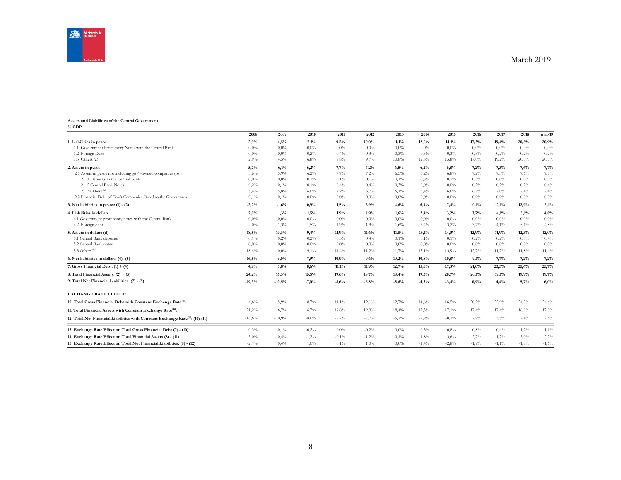

#### **Assets and Liabilities of the Central Government % GDP**

|                                                                                            | 2008     | 2009     | 2010    | 2011     | 2012     | 2013     | 2014     | 2015     | 2016    | 2017     | 2018    | mar-19  |
|--------------------------------------------------------------------------------------------|----------|----------|---------|----------|----------|----------|----------|----------|---------|----------|---------|---------|
| 1. Liabilities in pesos                                                                    | 2,9%     | 4,5%     | 7,1%    | 9,2%     | $10,0\%$ | 11,1%    | 12,6%    | 14,1%    | 17,3%   | 19,4%    | 20,5%   | 20,9%   |
| 1.1. Government Promissory Notes with the Central Bank                                     | 0,0%     | $0,0\%$  | 0.0%    | 0,0%     | $0.0\%$  | $0.0\%$  | 0,0%     | 0,0%     | $0.0\%$ | 0.0%     | $0,0\%$ | $0.0\%$ |
| 1.2. Foreign Debt                                                                          | 0,0%     | $0.0\%$  | 0,2%    | 0,4%     | 0.3%     | 0,3%     | 0,3%     | 0,3%     | 0,3%    | 0,2%     | 0,2%    | 0,2%    |
| 1.3. Others $(a)$                                                                          | 2,9%     | 4,5%     | 6,8%    | 8,8%     | 9,7%     | 10,8%    | 12,3%    | 13,8%    | 17,0%   | 19,2%    | 20,3%   | 20,7%   |
| 2. Assets in pesos                                                                         | 5,7%     | 6,1%     | 6,2%    | 7,7%     | 7,2%     | 6,5%     | 6,2%     | 6,8%     | 7,2%    | 7,3%     | 7,6%    | 7,7%    |
| 2.1 Assets in pesos not including gov't-owned companies (b)                                | 5,6%     | 5,9%     | 6,2%    | 7,7%     | 7,2%     | 6,5%     | 6,2%     | 6,8%     | 7,2%    | 7,3%     | 7,6%    | 7,7%    |
| 2.1.1 Deposits in the Central Bank                                                         | 0.0%     | $0.0\%$  | 0,1%    | 0,1%     | 0,1%     | 0,1%     | 0,8%     | 0,2%     | 0,3%    | 0,0%     | $0.0\%$ | $0.0\%$ |
| 2.1.2 Central Bank Notes                                                                   | 0,2%     | 0,1%     | 0,1%    | 0,4%     | 0,4%     | 0,3%     | $0.0\%$  | 0,0%     | 0,2%    | 0,2%     | 0,2%    | 0,4%    |
| 2.1.3 Others $(6)$                                                                         | 5,4%     | 5,8%     | 6,0%    | 7,2%     | 6,7%     | 6,1%     | 5,4%     | 6,6%     | 6,7%    | 7,0%     | 7,4%    | 7,4%    |
| 2.2 Financial Debt of Gov't Companies Owed to the Government                               | 0,1%     | 0,1%     | $0.0\%$ | $0.0\%$  | $0.0\%$  | 0,0%     | $0.0\%$  | $0.0\%$  | $0.0\%$ | 0,0%     | $0.0\%$ | $0.0\%$ |
| 3. Net liabilities in pesos: $(1) - (2)$                                                   | $-2,7%$  | $-1,6%$  | 0,9%    | 1,5%     | 2,9%     | 4,6%     | 6,4%     | 7,4%     | 10,1%   | 12,1%    | 12,9%   | 13,1%   |
| 4. Liabilities in dollars                                                                  | 2,0%     | 1,3%     | 1,5%    | 1,9%     | 1,9%     | 1,6%     | 2,4%     | 3,2%     | 3,7%    | 4,1%     | 5,1%    | 4,8%    |
| 4.1 Government promissory notes with the Central Bank                                      | 0.0%     | $0.0\%$  | 0.0%    | 0,0%     | $0.0\%$  | 0,0%     | 0,0%     | 0,0%     | $0,0\%$ | 0.0%     | $0,0\%$ | $0.0\%$ |
| 4.2 Foreign debt                                                                           | 2,0%     | 1,3%     | 1,5%    | 1,9%     | 1,9%     | 1,6%     | 2,4%     | 3,2%     | 3,7%    | 4,1%     | 5,1%    | 4,8%    |
| 5. Assets in dollars (d)                                                                   | 18,5%    | 10,3%    | 9,4%    | 11,9%    | 11,6%    | 11,8%    | 13,1%    | 14,0%    | 12,9%   | 11,9%    | 12,3%   | 12,0%   |
| 5.1 Central Bank deposits                                                                  | 0,1%     | 0,2%     | 0,2%    | 0,5%     | 0,4%     | 0,1%     | 0,1%     | 0,1%     | 0,2%    | 0,2%     | 0,5%    | 0,4%    |
| 5.2 Central Bank notes                                                                     | 0,0%     | $0.0\%$  | $0.0\%$ | $0,0\%$  | $0.0\%$  | 0,0%     | $0,0\%$  | 0,0%     | $0,0\%$ | 0.0%     | $0,0\%$ | $0.0\%$ |
| 5.3 Others <sup>(d)</sup>                                                                  | 18,4%    | 10,0%    | 9,1%    | 11,4%    | 11,2%    | 11,7%    | 13,1%    | 13,9%    | 12,7%   | 11,7%    | 11,8%   | 11,6%   |
| 6. Net liabilities in dollars: (4) -(5)                                                    | $-16,5%$ | $-9,0%$  | $-7,9%$ | $-10,0%$ | $-9,6%$  | $-10,2%$ | $-10,8%$ | $-10,8%$ | $-9,1%$ | $-7,7%$  | $-7,2%$ | $-7,2%$ |
| 7. Gross Financial Debt: $(1) + (4)$                                                       | 4,9%     | 5,8%     | 8,6%    | 11,1%    | 11,9%    | 12,7%    | 15,0%    | 17,3%    | 21,0%   | 23,5%    | 25,6%   | 25,7%   |
| 8. Total Financial Assets: $(2) + (5)$                                                     | 24,2%    | 16,3%    | 15,5%   | 19,6%    | 18,7%    | 18,4%    | 19,3%    | 20,7%    | 20,1%   | 19,1%    | 19,9%   | 19,7%   |
| 9. Total Net Financial Liabilities: (7) - (8)                                              | $-19,3%$ | $-10,5%$ | $-7,0%$ | $-8,6%$  | $-6,8%$  | $-5,6%$  | $-4,3%$  | $-3,4%$  | 0,9%    | 4,4%     | 5,7%    | 6,0%    |
| <b>EXCHANGE RATE EFFECT:</b>                                                               |          |          |         |          |          |          |          |          |         |          |         |         |
| 10. Total Gross Financial Debt with Constant Exchange Rate <sup>(h)</sup> :                | 4,6%     | 5,9%     | 8,7%    | 11,1%    | $12,1\%$ | 12,7%    | 14,6%    | 16,5%    | 20,2%   | 22,9%    | 24,3%   | 24,6%   |
| 11. Total Financial Assets with Constant Exchange Rate <sup>(h)</sup> :                    | 21,2%    | 16,7%    | 16,7%   | 19,8%    | 19,9%    | 18,4%    | 17,5%    | 17,1%    | 17,4%   | 17,4%    | 16,9%   | 17,0%   |
| 12. Total Net Financial Liabilities with Constant Exchange Rate <sup>(h)</sup> : (10)-(11) | $-16,6%$ | $-10,9%$ | $-8,0%$ | $-8,7%$  | $-7,7%$  | $-5,7%$  | $-2,9%$  | $-0,7%$  | 2,9%    | 5,5%     | 7,4%    | 7,6%    |
| 13. Exchange Rate Effect on Total Gross Financial Debt (7) - (10)                          | 0,3%     | $-0,1%$  | $-0,2%$ | 0,0%     | $-0,2%$  | 0,0%     | 0,3%     | 0,8%     | 0,8%    | 0,6%     | 1,2%    | 1,1%    |
| 14. Exchange Rate Effect on Total Financial Assets (8) - (11)                              | 3,0%     | $-0.4%$  | $-1,2%$ | $-0.1%$  | $-1,2%$  | $-0.1%$  | 1,8%     | 3,6%     | 2,7%    | 1,7%     | 3,0%    | 2,7%    |
| 15. Exchange Rate Effect on Total Net Financial Liabilities: (9) - (12)                    | $-2,7%$  | 0,4%     | 1.0%    | 0.1%     | $1.0\%$  | 0,0%     | $-1.4%$  | $-2,8%$  | $-1.9%$ | $-1,1\%$ | $-1.8%$ | $-1,6%$ |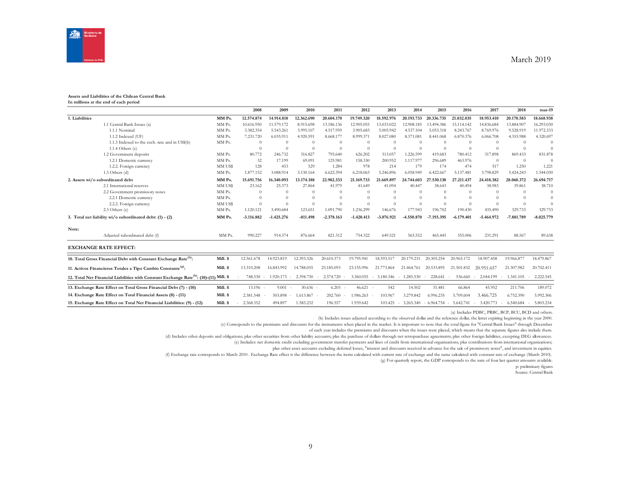

#### **Assets and Liabilities of the Chilean Central Bank In millions at the end of each period**

|                |                                                                                                     |          | 2008         | 2009              | 2010       | 2011         | 2012         | 2013                | 2014                | 2015         | 2016         | 2017                | 2018       | mar-19       |
|----------------|-----------------------------------------------------------------------------------------------------|----------|--------------|-------------------|------------|--------------|--------------|---------------------|---------------------|--------------|--------------|---------------------|------------|--------------|
| 1. Liabilities |                                                                                                     | MM Ps.   | 12.574.874   | 14.914.818        | 12.362.690 | 20,604.170   | 19.749.320   | 18.592.976          | 20.193.733          | 20.336.735   | 21.032.035   | 18.953.410          | 20.178.583 | 18.668.938   |
|                | 1.1 Central Bank Issues (a)                                                                         | MM Ps.   | 10.616.950   | 11.579.172        | 8.915.698  | 13.186.136   | 12.905.055   | 13.033.022          | 12.908.185          | 13.494.386   | 15.114.142   | 14.836.684          | 13.884.907 | 16.293.030   |
|                | 1.1.1 Nominal                                                                                       | MM Ps.   | 3.382.354    | 5.543.261         | 3.995.107  | 4.517.959    | 3.905.683    | 5.005.942           | 4.537.104           | 5.053.318    | 8.243.767    | 8.769.976           | 9.528.919  | 11.972.333   |
|                | 1.1.2 Indexed (UF)                                                                                  | MM Ps.   | 7.231.720    | 6.035.911         | 4.920.591  | 8.668.177    | 8.999.371    | 8.027.080           | 8.371.081           | 8.441.068    | 6.870.376    | 6.066.708           | 4.355.988  | 4.320.697    |
|                | 1.1.3 Indexed to the exch. rate and in US\$(b)                                                      | MM Ps.   | $\Omega$     | $\Omega$          | $\Omega$   | $\Omega$     | $\Omega$     | $\Omega$            | $\Omega$            | $\Omega$     | $\Omega$     | $\Omega$            | $\Omega$   | $\Omega$     |
|                | $1.1.4$ Others $(c)$                                                                                |          | $\Omega$     | $\Omega$          | $\Omega$   | $\Omega$     | $\theta$     | $\Omega$            | $\Omega$            | $\Omega$     | $\Omega$     | $\Omega$            | $\Omega$   | $\Omega$     |
|                | 1.2 Government deposits                                                                             | MM Ps.   | 80,772       | 246.732           | 316,827    | 795.640      | 626.202      | 313.057             | 1.226.599           | 419.683      | 780.412      | 317,898             | 869.433    | 831.878      |
|                | 1.2.1 Domestic currency                                                                             | MM Ps.   | 32           | 17.199            | 69,091     | 125.981      | 158.330      | 200.952             | 1.117.977           | 296.689      | 463.976      | $\Omega$            | $\theta$   | -0           |
|                | 1.2.2. Foreign currency                                                                             | MM US\$  | 128          | 453               | 529        | 1.284        | 978          | 214                 | 179                 | 174          | 474          | 517                 | 1.250      | 1.221        |
|                | $1.3$ Others (d)                                                                                    | MM Ps.   | 1.877.152    | 3.088.914         | 3.130.164  | 6.622.394    | 6.218.063    | 5.246.896           | 6.058.949           | 6.422.667    | 5.137.481    | 3.798.829           | 5.424.243  | 1.544.030    |
|                | 2. Assets wi/o subordinated debt                                                                    | MM Ps.   | 15.691.756   | 16.340.093        | 13.174.188 | 22.982.333   | 21.169.733   | 21.669.897          | 24.744.603          | 27.530.130   | 27.211.437   | 24.418.382          | 28.060.372 | 26.694.717   |
|                | 2.1 International reserves                                                                          | MM US\$  | 23.162       | 25.373            | 27.864     | 41.979       | 41.649       | 41.094              | 40.447              | 38.643       | 40.494       | 38.983              | 39.861     | 38.710       |
|                | 2.2 Government promissory notes                                                                     | MM Ps.   | $\Omega$     | $\Omega$          | $\Omega$   |              | $\Omega$     | $\Omega$            | $\theta$            | $\Omega$     | $\Omega$     | $\Omega$            | $\Omega$   | $\sqrt{ }$   |
|                | 2.2.1 Domestic currency                                                                             | MM Ps.   | $\Omega$     | $\Omega$          | $\Omega$   |              | $\Omega$     | $\Omega$            | $\Omega$            | $\Omega$     | $\Omega$     | $\Omega$            | $\Omega$   | $\Omega$     |
|                | 2.2.2. Foreign currency                                                                             | MM US\$  | $\Omega$     |                   | $\Omega$   |              | $\Omega$     | $\Omega$            | $\theta$            | $\Omega$     | $\Omega$     | $\Omega$            | $\Omega$   | $\Omega$     |
|                | 2.3 Others (e)                                                                                      | MM Ps.   | 1.120.121    | 3.490.684         | 123.651    | 1.091.790    | 1.236.299    | 146.676             | 177.943             | 196.702      | 190.430      | 435.490             | 329.733    | 329.733      |
|                | 3. Total net liability wi/o subordinated debt: (1) - (2)                                            | MM Ps.   | $-3.116.882$ | $-1.425.276$      | $-811.498$ | $-2.378.163$ | $-1.420.413$ | $-3.076.921$        | -4.550.870          | -7.193.395   | $-6.179.401$ | $-5.464.972$        | -7.881.789 | $-8.025.779$ |
| Note:          |                                                                                                     |          |              |                   |            |              |              |                     |                     |              |              |                     |            |              |
|                | Adjusted subordinated debt (f)                                                                      | MM Ps.   | 990.227      | 914.374           | 876.664    | 821.312      | 754.322      | 649.521             | 565.552             | 465.445      | 355,006      | 231.291             | 88.567     | 89.638       |
|                | <b>EXCHANGE RATE EFFECT:</b>                                                                        |          |              |                   |            |              |              |                     |                     |              |              |                     |            |              |
|                | 10. Total Gross Financial Debt with Constant Exchange Rate <sup>(h)</sup> :                         | Mill. \$ | 12.561.678   | 14.923.819        | 12.393.326 | 20.610.373   | 19.795.941   | 18.593.517          | 20.179.231          | 20.305.254   | 20.965.172   | 18.907.458          | 19.966.877 | 18,479,867   |
|                | 11. Activos Financieros Totales a Tipo Cambio Constante <sup>(g)</sup> :                            | Mill. \$ | 13.310.208   | 16.843.992        | 14.788.055 | 23.185.093   | 23.155.996   | 21,773,864          | 21.464.761          | 20.533.895   | 21.501.832   | 20.951.657          | 21.307.982 | 20.702.411   |
|                | 12. Total Net Financial Liabilities with Constant Exchange Rate <sup>(h)</sup> : (10)-(11) Mill. \$ |          | 748.530      | 1.920.173         | 2.394.730  | 2.574.720    | 3.360.055    | 3.180.346<br>$\sim$ | 1.285.530<br>$\sim$ | 228.641      | 536.660      | 2.044.199           | 1.341.105  | 2.222.545    |
|                | 13. Exchange Rate Effect on Total Gross Financial Debt (7) - (10)                                   | Mill. \$ | 13.196 -     | 9.001             | $30.636 -$ | 6.203        | 46.621       | 542                 | 14.502              | 31.481       | 66.864       | 45.952              | 211.706    | 189.072      |
|                | 14. Exchange Rate Effect on Total Financial Assets (8) - (11)                                       | Mill. \$ | 2.381.548    | 503.898<br>$\sim$ | 1.613.867  | 202.760      | 1.986.263    | 103.967             | 3.279.842           | 6.996.235    | 5.709.604    | 3.466.725           | 6.752.390  | 5.992.306    |
|                | 15. Exchange Rate Effect on Total Net Financial Liabilities: (9) - (12)                             | Mill. \$ | 2.368.352    | 494.897           | 1.583.232  | 196.557      | 1.939.642    | 103.425             | 3.265.340<br>$\sim$ | $-6.964.754$ | $-5.642.741$ | 3.420.773<br>$\sim$ | 6.540.684  | 5.803.234    |

(a) Includes PDBC, PRBC, BCP, BCU, BCD and others.

(b) Includes issues adjusted according to the observed dollar and the reference dollar, the latter expiring beginning in the year 2000.

(c) Corresponds to the premiums and discounts for the instruments when placed in the market. It is important to note that the total figure for "Central Bank Issues" through December

of each year includes the premiums and discounts when the issues were placed, which means that the separate figures also include them.

(d) Includes other deposits and obligations; plus other securities from other liability accounts; plas the purchase of dollars through net retropurchase agreements; plus other foreign liabilities, excepting DEG allowances.

(e) Includes: net domestic credit excluding government transfer payments and lines of credit from international organizations; plus contributions from international organizations;

plus other asset accounts excluding deferred losses, "interest and discounts received in advance for the sale of promissory notes", and investment in equities.

(f) Exchange rate corresponds to March 2010 . Exchange Rate effect is the difference between the items calculated with current rate of exchange and the same calculated with constant rate of exchange (March 2010).

(g) For quarterly report, the GDP corresponds to the sum of four last quarter amounts available.

p: preliminary figures

Source: Central Bank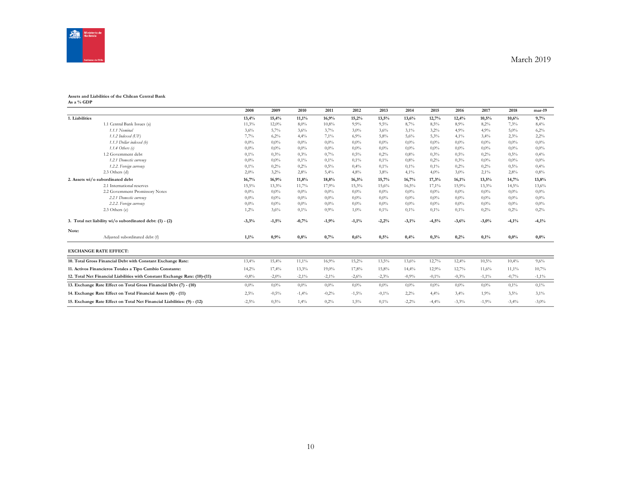

#### **Assets and Liabilities of the Chilean Central Bank As a % GDP**

|                                                                            | 2008     | 2009     | 2010     | 2011    | 2012    | 2013    | 2014    | 2015    | 2016    | 2017     | 2018    | mar-19   |
|----------------------------------------------------------------------------|----------|----------|----------|---------|---------|---------|---------|---------|---------|----------|---------|----------|
| 1. Liabilities                                                             | 13,4%    | 15,4%    | 11,1%    | 16,9%   | 15,2%   | 13,5%   | 13,6%   | 12,7%   | 12,4%   | 10,5%    | 10,6%   | 9,7%     |
| 1.1 Central Bank Issues (a)                                                | 11,3%    | 12,0%    | 8,0%     | 10,8%   | 9.9%    | 9,5%    | 8,7%    | 8,5%    | 8,9%    | 8,2%     | 7.3%    | 8,4%     |
| 1.1.1 Nominal                                                              | 3,6%     | 5,7%     | 3,6%     | 3,7%    | 3,0%    | 3,6%    | 3,1%    | 3,2%    | 4,9%    | 4,9%     | 5,0%    | 6,2%     |
| $1.1.2$ Indexed (UF)                                                       | 7,7%     | 6,2%     | 4,4%     | 7,1%    | 6,9%    | 5,8%    | 5,6%    | 5,3%    | 4,1%    | 3,4%     | 2,3%    | 2,2%     |
| 1.1.3 Dollar indexed (b)                                                   | 0,0%     | $0.0\%$  | 0,0%     | $0.0\%$ | $0.0\%$ | $0.0\%$ | $0.0\%$ | $0.0\%$ | 0,0%    | 0,0%     | $0.0\%$ | 0,0%     |
| $1.1.4$ Others (c)                                                         | 0,0%     | $0.0\%$  | $0.0\%$  | $0.0\%$ | $0.0\%$ | $0.0\%$ | $0.0\%$ | $0.0\%$ | 0,0%    | $0.0\%$  | $0.0\%$ | 0.0%     |
| 1.2 Government debt                                                        | 0,1%     | 0,3%     | 0,3%     | 0,7%    | 0.5%    | 0,2%    | 0,8%    | 0.3%    | 0,5%    | 0,2%     | 0,5%    | 0,4%     |
| 1.2.1 Domestic currency                                                    | 0,0%     | $0.0\%$  | 0,1%     | 0,1%    | 0,1%    | 0,1%    | 0.8%    | 0,2%    | 0,3%    | 0,0%     | $0.0\%$ | 0,0%     |
| 1.2.2. Foreign currency                                                    | 0,1%     | 0,2%     | 0,2%     | 0,5%    | 0,4%    | 0,1%    | 0,1%    | 0,1%    | 0,2%    | 0,2%     | 0,5%    | 0,4%     |
| 2.3 Others (d)                                                             | 2,0%     | 3,2%     | 2,8%     | 5,4%    | 4,8%    | 3,8%    | 4,1%    | 4,0%    | 3,0%    | 2,1%     | 2,8%    | 0.8%     |
| 2. Assets wi/o subordinated debt                                           | 16,7%    | 16,9%    | 11,8%    | 18,8%   | 16,3%   | 15,7%   | 16,7%   | 17,3%   | 16,1%   | 13,5%    | 14,7%   | 13,8%    |
| 2.1 International reserves                                                 | $15,5\%$ | 13,3%    | 11,7%    | 17,9%   | 15,3%   | 15,6%   | 16,5%   | 17,1%   | 15,9%   | 13,3%    | 14,5%   | 13,6%    |
| 2.2 Government Promissory Notes                                            | 0,0%     | $0.0\%$  | $0.0\%$  | $0.0\%$ | $0.0\%$ | $0.0\%$ | $0.0\%$ | $0.0\%$ | 0,0%    | $0.0\%$  | $0.0\%$ | 0,0%     |
| 2.2.1 Domestic currency                                                    | 0,0%     | $0.0\%$  | $0.0\%$  | $0.0\%$ | $0,0\%$ | $0.0\%$ | $0.0\%$ | $0.0\%$ | 0,0%    | $0.0\%$  | $0.0\%$ | 0,0%     |
| 2.2.2. Foreign currency                                                    | 0,0%     | $0,0\%$  | 0,0%     | $0,0\%$ | $0.0\%$ | $0.0\%$ | $0.0\%$ | $0,0\%$ | 0,0%    | 0,0%     | $0.0\%$ | 0.0%     |
| 2.3 Others (e)                                                             | 1,2%     | 3,6%     | 0,1%     | 0.9%    | $1,0\%$ | $0.1\%$ | 0,1%    | 0,1%    | 0,1%    | 0,2%     | 0,2%    | 0,2%     |
| 3. Total net liability wi/o subordinated debt: (1) - (2)                   | $-3,3%$  | $-1,5%$  | $-0,7%$  | $-1,9%$ | $-1,1%$ | $-2,2%$ | $-3,1%$ | $-4,5%$ | $-3,6%$ | $-3,0%$  | $-4,1%$ | $-4,1%$  |
| Note:                                                                      |          |          |          |         |         |         |         |         |         |          |         |          |
| Adjusted subordinated debt (f)                                             | 1,1%     | 0,9%     | 0.8%     | 0,7%    | 0,6%    | 0,5%    | 0,4%    | 0,3%    | 0,2%    | 0,1%     | 0,0%    | 0,0%     |
| <b>EXCHANGE RATE EFFECT:</b>                                               |          |          |          |         |         |         |         |         |         |          |         |          |
| 10. Total Gross Financial Debt with Constant Exchange Rate:                | 13,4%    | 15,4%    | 11,1%    | 16,9%   | 15,2%   | 13,5%   | 13,6%   | 12,7%   | 12,4%   | 10,5%    | 10,4%   | 9,6%     |
| 11. Activos Financieros Totales a Tipo Cambio Constante:                   | 14,2%    | 17,4%    | 13,3%    | 19,0%   | 17,8%   | 15,8%   | 14,4%   | 12,9%   | 12,7%   | 11,6%    | 11,1%   | 10,7%    |
| 12. Total Net Financial Liabilities with Constant Exchange Rate: (10)-(11) | $-0,8%$  | $-2,0\%$ | $-2,1\%$ | $-2,1%$ | $-2,6%$ | $-2,3%$ | $-0.9%$ | $-0.1%$ | $-0,3%$ | $-1,1\%$ | $-0,7%$ | $-1,1\%$ |
| 13. Exchange Rate Effect on Total Gross Financial Debt (7) - (10)          | 0,0%     | 0,0%     | $0.0\%$  | $0.0\%$ | $0.0\%$ | $0.0\%$ | $0.0\%$ | $0.0\%$ | 0,0%    | $0.0\%$  | 0,1%    | 0,1%     |
| 14. Exchange Rate Effect on Total Financial Assets (8) - (11)              | 2,5%     | $-0.5%$  | $-1,4%$  | $-0,2%$ | $-1,5%$ | $-0.1%$ | 2,2%    | 4,4%    | 3,4%    | 1,9%     | 3,5%    | 3,1%     |
| 15. Exchange Rate Effect on Total Net Financial Liabilities: (9) - (12)    | $-2,5\%$ | 0,5%     | 1,4%     | 0,2%    | 1,5%    | $0.1\%$ | $-2,2%$ | $-4,4%$ | $-3,3%$ | $-1,9%$  | $-3,4%$ | $-3,0\%$ |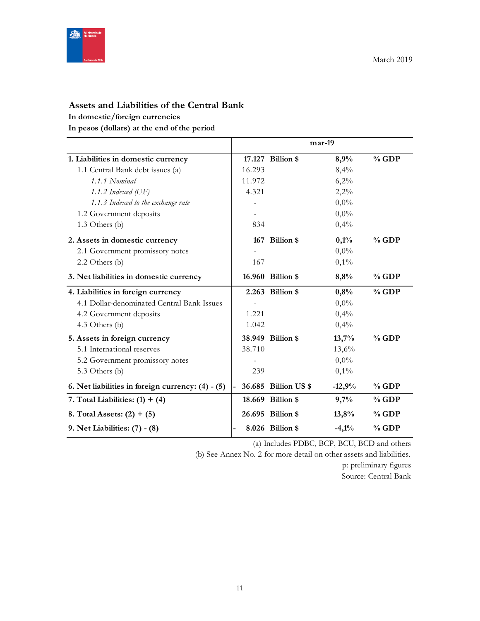

## **Assets and Liabilities of the Central Bank**

#### **In domestic/foreign currencies**

**In pesos (dollars) at the end of the period**

|                                                   |        |                      | mar-19   |          |
|---------------------------------------------------|--------|----------------------|----------|----------|
| 1. Liabilities in domestic currency               |        | 17.127 Billion \$    | 8,9%     | $%$ GDP  |
| 1.1 Central Bank debt issues (a)                  | 16.293 |                      | 8,4%     |          |
| 1.1.1 Nominal                                     | 11.972 |                      | 6,2%     |          |
| 1.1.2 Indexed $(\mathrm{UF})$                     | 4.321  |                      | 2,2%     |          |
| 1.1.3 Indexed to the exchange rate                |        |                      | $0,0\%$  |          |
| 1.2 Government deposits                           |        |                      | $0,0\%$  |          |
| 1.3 Others (b)                                    | 834    |                      | 0,4%     |          |
| 2. Assets in domestic currency                    |        | 167 Billion \$       | 0,1%     | $%$ GDP  |
| 2.1 Government promissory notes                   |        |                      | $0,0\%$  |          |
| 2.2 Others (b)                                    | 167    |                      | 0,1%     |          |
| 3. Net liabilities in domestic currency           |        | 16.960 Billion \$    | 8,8%     | $%$ GDP  |
| 4. Liabilities in foreign currency                |        | 2.263 Billion \$     | 0,8%     | $%$ GDP  |
| 4.1 Dollar-denominated Central Bank Issues        |        |                      | $0,0\%$  |          |
| 4.2 Government deposits                           | 1.221  |                      | 0,4%     |          |
| 4.3 Others (b)                                    | 1.042  |                      | 0,4%     |          |
| 5. Assets in foreign currency                     |        | 38.949 Billion \$    | 13,7%    | $\%$ GDP |
| 5.1 International reserves                        | 38.710 |                      | 13,6%    |          |
| 5.2 Government promissory notes                   |        |                      | $0,0\%$  |          |
| 5.3 Others (b)                                    | 239    |                      | 0,1%     |          |
| 6. Net liabilities in foreign currency: (4) - (5) |        | 36.685 Billion US \$ | $-12,9%$ | $%$ GDP  |
| 7. Total Liabilities: $(1) + (4)$                 |        | 18.669 Billion \$    | 9,7%     | $%$ GDP  |
| 8. Total Assets: $(2) + (5)$                      |        | 26.695 Billion \$    | 13,8%    | $%$ GDP  |
| 9. Net Liabilities: (7) - (8)                     |        | 8.026 Billion \$     | $-4,1%$  | $%$ GDP  |

(a) Includes PDBC, BCP, BCU, BCD and others

(b) See Annex No. 2 for more detail on other assets and liabilities.

p: preliminary figures Source: Central Bank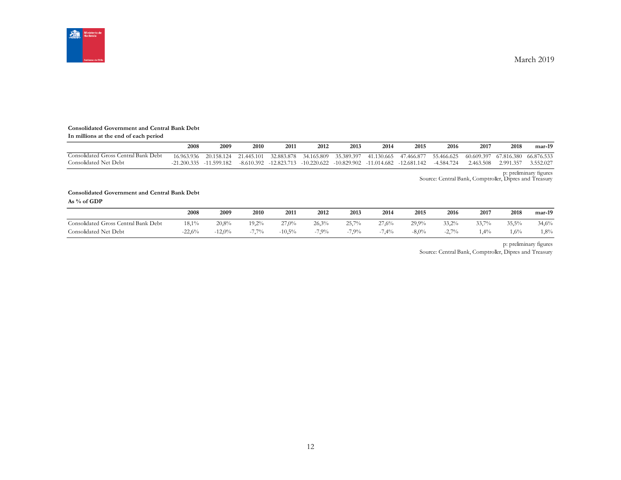

#### **Consolidated Government and Central Bank Debt**

| In millions at the end of each period |               |             |                       |            |            |            |            |                                                                                    |            |            |                       |           |
|---------------------------------------|---------------|-------------|-----------------------|------------|------------|------------|------------|------------------------------------------------------------------------------------|------------|------------|-----------------------|-----------|
|                                       | 2008          | 2009        | 2010                  | 2011       | 2012       | 2013       | 2014       | 2015                                                                               | 2016       | 2017       | 2018                  | mar-19    |
| Consolidated Gross Central Bank Debt  | 16.963.936    |             | 20.158.124 21.445.101 | 32.883.878 | 34.165.809 | 35.389.397 | 41.130.665 | 47.466.877                                                                         | 55.466.625 | 60.609.397 | 67.816.380 66.876.533 |           |
| Consolidated Net Debt                 | $-21.200.335$ | -11.599.182 |                       |            |            |            |            | $-8.610.392$ $-12.823.713$ $-10.220.622$ $-10.829.902$ $-11.014.682$ $-12.681.142$ | -4.584.724 | 2.463.508  | 2.991.357             | 3.552.027 |

p: preliminary figures Source: Central Bank, Comptroller, Dipres and Treasury

#### **Consolidated Government and Central Bank Debt As % of GDP**

|                                      | 2008     | 2009     | 2010     | 2011     | 2012  | 2013<br>$\sim$ $\sim$ | 2014  | 2015     | 2016          | 2017           | 2018    | $mar-19$ |
|--------------------------------------|----------|----------|----------|----------|-------|-----------------------|-------|----------|---------------|----------------|---------|----------|
| Consolidated Gross Central Bank Debt | 18,1%    | 20,8%    | $19.2\%$ | 27,0%    | 26,3% | 25,7%                 | 27,6% | 29.9%    | 33.2%         | 3370/6<br>33,1 | 35,5%   | 34,6%    |
| Consolidated Net Debt                | $-22.6%$ | $-12,0%$ | 7.70/    | $-10,5%$ | 7.9%  | $7.9\%$               | 7,4%  | $-8,0\%$ | 2.70%<br>-4., | 1,4%           | $1,6\%$ | $1,8\%$  |

p: preliminary figures

Source: Central Bank, Comptroller, Dipres and Treasury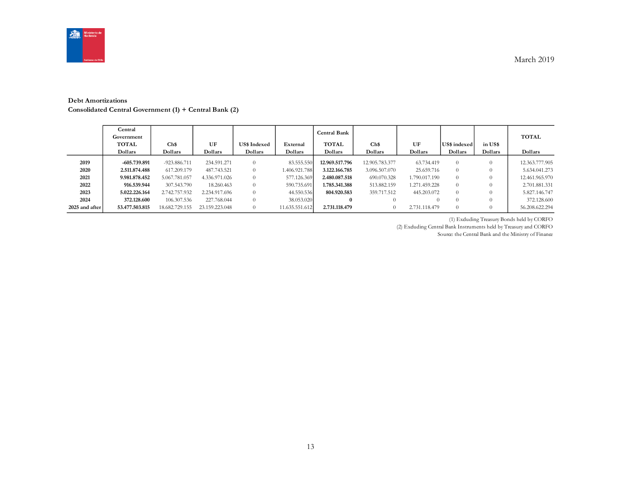

#### **Debt Amortizations**

**Consolidated Central Government (1) + Central Bank (2)**

|                | Central<br>Government<br><b>TOTAL</b><br>Dollars | Ch\$<br>Dollars | UF<br>Dollars  | <b>US\$ Indexed</b><br>Dollars | External<br>Dollars | Central Bank<br><b>TOTAL</b><br>Dollars | Ch\$<br>Dollars | UF<br>Dollars | US\$ indexed<br>Dollars | in US\$<br>Dollars | <b>TOTAL</b><br>Dollars |
|----------------|--------------------------------------------------|-----------------|----------------|--------------------------------|---------------------|-----------------------------------------|-----------------|---------------|-------------------------|--------------------|-------------------------|
| 2019           | $-605.739.891$                                   | -923.886.711    | 234.591.271    | $\Omega$                       | 83.555.550          | 12.969.517.796                          | 12.905.783.377  | 63.734.419    | $\Omega$                |                    | 12.363.777.905          |
| 2020           | 2.511.874.488                                    | 617.209.179     | 487.743.521    | $\theta$                       | 1.406.921.788       | 3.122.166.785                           | 3.096.507.070   | 25.659.716    | $\theta$                |                    | 5.634.041.273           |
| 2021           | 9.981.878.452                                    | 5.067.781.057   | 4.336.971.026  | $\theta$                       | 577.126.369         | 2.480.087.518                           | 690.070.328     | 1.790.017.190 | $\Omega$                |                    | 12.461.965.970          |
| 2022           | 916.539.944                                      | 307.543.790     | 18.260.463     | $\Omega$                       | 590.735.691         | 1.785.341.388                           | 513.882.159     | 1.271.459.228 | $\Omega$                |                    | 2.701.881.331           |
| 2023           | 5.022.226.164                                    | 2.742.757.932   | 2.234.917.696  | $\Omega$                       | 44.550.536          | 804.920.583                             | 359.717.512     | 445.203.072   | $\Omega$                |                    | 5.827.146.747           |
| 2024           | 372.128.600                                      | 106.307.536     | 227.768.044    | $\Omega$                       | 38.053.020          | $\bf{0}$                                | 0               |               |                         |                    | 372.128.600             |
| 2025 and after | 53.477.503.815                                   | 18.682.729.155  | 23.159.223.048 | $\Omega$                       | 11.635.551.612      | 2.731.118.479                           | $\overline{0}$  | 2.731.118.479 | $\Omega$                |                    | 56.208.622.294          |

(1) Excluding Treasury Bonds held by CORFO

(2) Excluding Central Bank Instruments held by Treasury and CORFO

Source: the Central Bank and the Ministry of Finance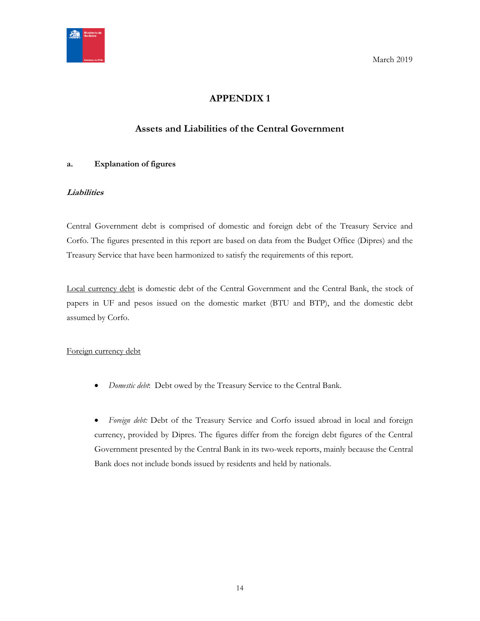<span id="page-13-0"></span>

## **APPENDIX 1**

## **Assets and Liabilities of the Central Government**

#### <span id="page-13-1"></span>**a. Explanation of figures**

#### **Liabilities**

Central Government debt is comprised of domestic and foreign debt of the Treasury Service and Corfo. The figures presented in this report are based on data from the Budget Office (Dipres) and the Treasury Service that have been harmonized to satisfy the requirements of this report.

Local currency debt is domestic debt of the Central Government and the Central Bank, the stock of papers in UF and pesos issued on the domestic market (BTU and BTP), and the domestic debt assumed by Corfo.

#### Foreign currency debt

*Domestic debt*: Debt owed by the Treasury Service to the Central Bank.

 *Foreign debt:* Debt of the Treasury Service and Corfo issued abroad in local and foreign currency, provided by Dipres. The figures differ from the foreign debt figures of the Central Government presented by the Central Bank in its two-week reports, mainly because the Central Bank does not include bonds issued by residents and held by nationals.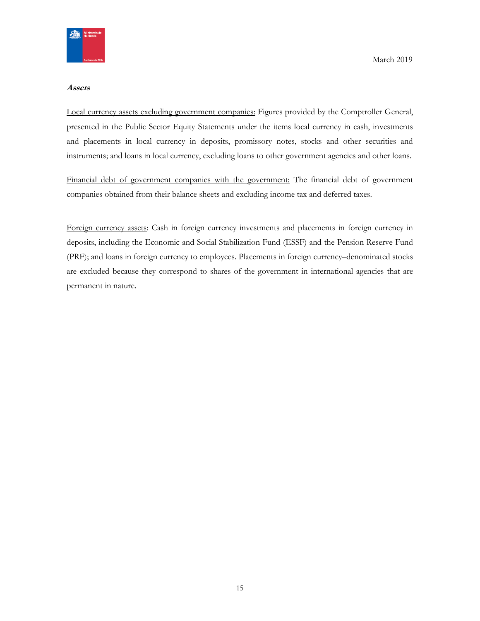

#### **Assets**

Local currency assets excluding government companies: Figures provided by the Comptroller General, presented in the Public Sector Equity Statements under the items local currency in cash, investments and placements in local currency in deposits, promissory notes, stocks and other securities and instruments; and loans in local currency, excluding loans to other government agencies and other loans.

Financial debt of government companies with the government: The financial debt of government companies obtained from their balance sheets and excluding income tax and deferred taxes.

Foreign currency assets: Cash in foreign currency investments and placements in foreign currency in deposits, including the Economic and Social Stabilization Fund (ESSF) and the Pension Reserve Fund (PRF); and loans in foreign currency to employees. Placements in foreign currency–denominated stocks are excluded because they correspond to shares of the government in international agencies that are permanent in nature.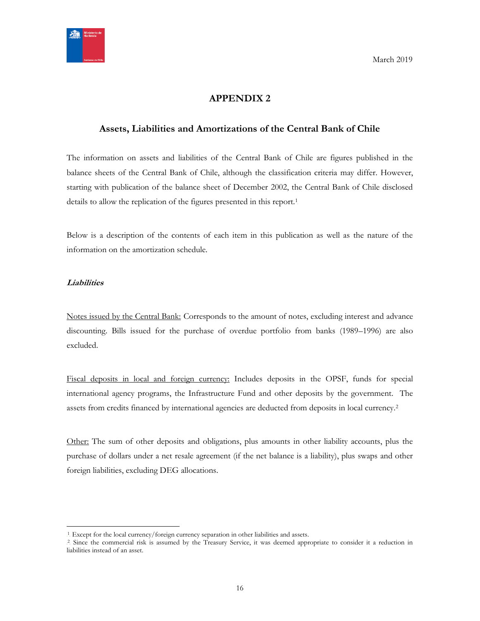

## **APPENDIX 2**

#### <span id="page-15-1"></span><span id="page-15-0"></span>**Assets, Liabilities and Amortizations of the Central Bank of Chile**

The information on assets and liabilities of the Central Bank of Chile are figures published in the balance sheets of the Central Bank of Chile, although the classification criteria may differ. However, starting with publication of the balance sheet of December 2002, the Central Bank of Chile disclosed details to allow the replication of the figures presented in this report.<sup>1</sup>

Below is a description of the contents of each item in this publication as well as the nature of the information on the amortization schedule.

#### **Liabilities**

 $\overline{a}$ 

Notes issued by the Central Bank: Corresponds to the amount of notes, excluding interest and advance discounting. Bills issued for the purchase of overdue portfolio from banks (1989–1996) are also excluded.

Fiscal deposits in local and foreign currency: Includes deposits in the OPSF, funds for special international agency programs, the Infrastructure Fund and other deposits by the government. The assets from credits financed by international agencies are deducted from deposits in local currency.<sup>2</sup>

Other: The sum of other deposits and obligations, plus amounts in other liability accounts, plus the purchase of dollars under a net resale agreement (if the net balance is a liability), plus swaps and other foreign liabilities, excluding DEG allocations.

<sup>&</sup>lt;sup>1</sup>. Except for the local currency/foreign currency separation in other liabilities and assets.

<sup>&</sup>lt;sup>2</sup> Since the commercial risk is assumed by the Treasury Service, it was deemed appropriate to consider it a reduction in liabilities instead of an asset.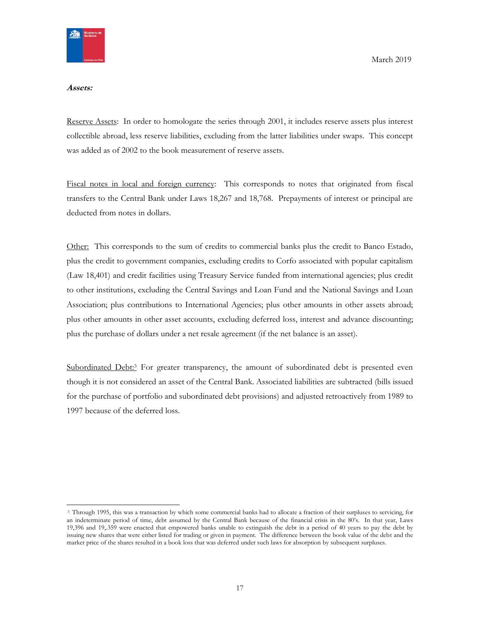

#### **Assets:**

Reserve Assets: In order to homologate the series through 2001, it includes reserve assets plus interest collectible abroad, less reserve liabilities, excluding from the latter liabilities under swaps. This concept was added as of 2002 to the book measurement of reserve assets.

Fiscal notes in local and foreign currency: This corresponds to notes that originated from fiscal transfers to the Central Bank under Laws 18,267 and 18,768. Prepayments of interest or principal are deducted from notes in dollars.

Other: This corresponds to the sum of credits to commercial banks plus the credit to Banco Estado, plus the credit to government companies, excluding credits to Corfo associated with popular capitalism (Law 18,401) and credit facilities using Treasury Service funded from international agencies; plus credit to other institutions, excluding the Central Savings and Loan Fund and the National Savings and Loan Association; plus contributions to International Agencies; plus other amounts in other assets abroad; plus other amounts in other asset accounts, excluding deferred loss, interest and advance discounting; plus the purchase of dollars under a net resale agreement (if the net balance is an asset).

Subordinated Debt:<sup>3</sup> For greater transparency, the amount of subordinated debt is presented even though it is not considered an asset of the Central Bank. Associated liabilities are subtracted (bills issued for the purchase of portfolio and subordinated debt provisions) and adjusted retroactively from 1989 to 1997 because of the deferred loss.

<sup>3</sup> Through 1995, this was a transaction by which some commercial banks had to allocate a fraction of their surpluses to servicing, for an indeterminate period of time, debt assumed by the Central Bank because of the financial crisis in the 80's. In that year, Laws 19,396 and 19,.359 were enacted that empowered banks unable to extinguish the debt in a period of 40 years to pay the debt by issuing new shares that were either listed for trading or given in payment. The difference between the book value of the debt and the market price of the shares resulted in a book loss that was deferred under such laws for absorption by subsequent surpluses.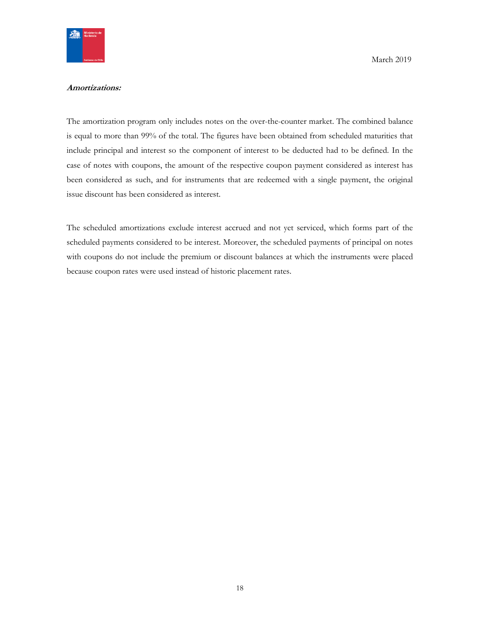

#### **Amortizations:**

The amortization program only includes notes on the over-the-counter market. The combined balance is equal to more than 99% of the total. The figures have been obtained from scheduled maturities that include principal and interest so the component of interest to be deducted had to be defined. In the case of notes with coupons, the amount of the respective coupon payment considered as interest has been considered as such, and for instruments that are redeemed with a single payment, the original issue discount has been considered as interest.

The scheduled amortizations exclude interest accrued and not yet serviced, which forms part of the scheduled payments considered to be interest. Moreover, the scheduled payments of principal on notes with coupons do not include the premium or discount balances at which the instruments were placed because coupon rates were used instead of historic placement rates.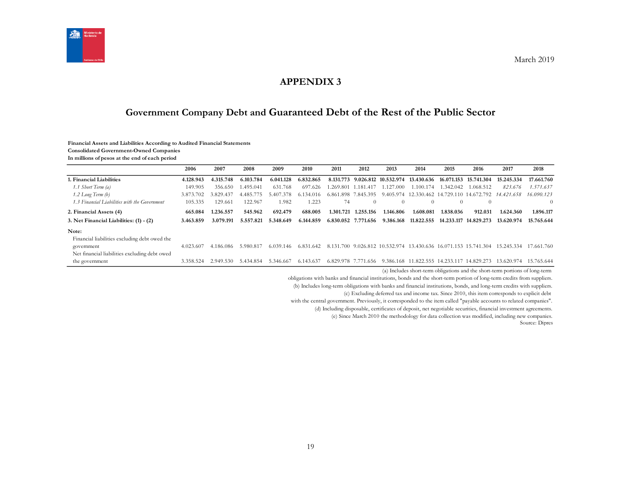

#### **APPENDIX 3**

## **Government Company Debt and Guaranteed Debt of the Rest of the Public Sector**

#### **Financial Assets and Liabilities According to Audited Financial Statements**

**Consolidated Government-Owned Companies**

**In millions of pesos at the end of each period**

<span id="page-18-1"></span><span id="page-18-0"></span>

|                                               | 2006      | 2007      | 2008      | 2009           | 2010      | 2011      | 2012                | 2013       | 2014                            | 2015       | 2016                                                                                                                                                                                                                                          | 2017                                                                       | 2018            |
|-----------------------------------------------|-----------|-----------|-----------|----------------|-----------|-----------|---------------------|------------|---------------------------------|------------|-----------------------------------------------------------------------------------------------------------------------------------------------------------------------------------------------------------------------------------------------|----------------------------------------------------------------------------|-----------------|
| . Financial Liabilities                       | 4.128.943 | 4.315.748 | 6.103.784 | 6.041.128      | 6.832.865 | 8.131.773 | 9.026.812           | 10.532.974 | 13.430.636                      | 16.071.153 | 15.741.304                                                                                                                                                                                                                                    | 15.245.334                                                                 | 17.661.760      |
| 1.1 Short Term (a)                            | 149.905   | 356.650   | .495.041  | 631.768        | 697.626   |           | .269.801 1.181.417  | .127.000   | 1.100.174                       | .342.042   | 1.068.512                                                                                                                                                                                                                                     | 823.676                                                                    | 1.571.637       |
| $1.2$ Long Term $(b)$                         | 3.873.702 | .829.437  | 4.485.775 | 7.378<br>5.407 | 6.134.016 |           | 6.861.898 7.845.395 | 9.405.974  |                                 |            | 12.330.462 14.729.110 14.672.792                                                                                                                                                                                                              | 14.421.658                                                                 | 16.090.123      |
| 1.3 Financial Liabilities with the Government | 105.335   | 129.661   | 122.967   | 1.982          | 1.223     | 74        | $\Omega$            | $\Omega$   | $\Omega$                        | $\Omega$   | $\Omega$                                                                                                                                                                                                                                      |                                                                            | $\Omega$        |
| 2. Financial Assets (4)                       | 665.084   | 1.236.557 | 545.962   | 692.479        | 688.005   | 1.301.721 | 1.255.156           | 1.146.806  | 1.608.081                       | 1.838.036  | 912.031                                                                                                                                                                                                                                       | 1.624.360                                                                  | 1.896.117       |
| 3. Net Financial Liabilities: (1) - (2)       | 3.463.859 | 3.079.191 | 5.557.821 | 5.348.649      | 6.144.859 | 6.830.052 | 7.771.656           | 9.386.168  | 11.822.555                      | 14.233.117 | 14.829.273                                                                                                                                                                                                                                    | 13.620.974                                                                 | 15.765.644      |
| Note:                                         |           |           |           |                |           |           |                     |            |                                 |            |                                                                                                                                                                                                                                               |                                                                            |                 |
| Financial liabilities excluding debt owed the |           |           |           |                |           |           |                     |            |                                 |            |                                                                                                                                                                                                                                               |                                                                            |                 |
| government                                    | 4.023.607 | 4.186.086 | 5.980.817 | 6.039.146      | 6.831.642 |           |                     |            |                                 |            |                                                                                                                                                                                                                                               | 8.131.700 9.026.812 10.532.974 13.430.636 16.071.153 15.741.304 15.245.334 | 17.661.760      |
| Net financial liabilities excluding debt owed |           |           |           |                |           |           |                     |            |                                 |            |                                                                                                                                                                                                                                               |                                                                            |                 |
| the government                                | 3.358.524 | 2.949.530 | 5.434.854 | 5.346.667      | 6.143.637 |           | 6.829.978 7.771.656 |            | 9.386.168 11.822.555 14.233.117 |            | 14.829.273                                                                                                                                                                                                                                    | 13.620.974                                                                 | 15.765.644      |
|                                               |           |           |           |                |           |           |                     |            |                                 |            | $\mathcal{L} \times \mathcal{R}$ . The contract of the contract of the contract of the contract of the contract of the contract of the contract of the contract of the contract of the contract of the contract of the contract of the contra |                                                                            | $\sim$ 1 $\sim$ |

(a) Includes short-term obligations and the short-term portions of long-term

obligations with banks and financial institutions, bonds and the short-term portion of long-term credits from suppliers.

(b) Includes long-term obligations with banks and financial institutions, bonds, and long-term credits with suppliers.

(c) Excluding deferred tax and income tax. Since 2010, this item corresponds to explicit debt

with the central government. Previously, it corresponded to the item called "payable accounts to related companies".

(d) Including disposable, certificates of deposit, net negotiable securities, financial investment agreements.

(e) Since March 2010 the methodology for data collection was modified, including new companies.

Source: Dipres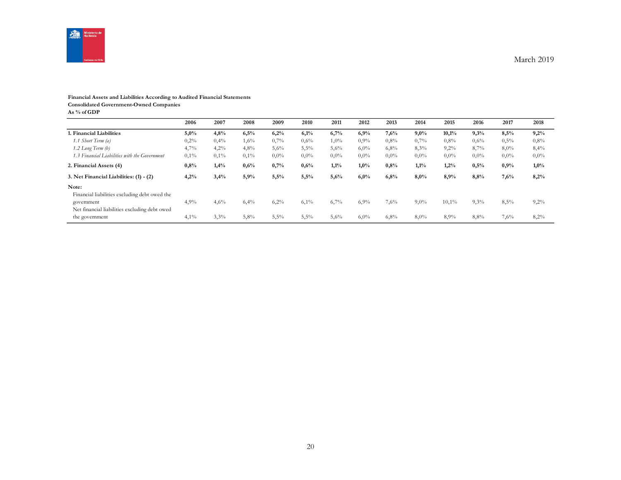

#### **Financial Assets and Liabilities According to Audited Financial Statements**

**Consolidated Government-Owned Companies**

**As % of GDP**

|                                               | 2006    | 2007 | 2008 | 2009    | 2010    | 2011    | 2012    | 2013    | 2014    | 2015    | 2016    | 2017    | 2018    |
|-----------------------------------------------|---------|------|------|---------|---------|---------|---------|---------|---------|---------|---------|---------|---------|
| 1. Financial Liabilities                      | 5,0%    | 4,8% | 6,5% | 6,2%    | 6,1%    | 6,7%    | 6,9%    | 7,6%    | 9,0%    | 10,1%   | 9,3%    | 8.5%    | 9,2%    |
| 1.1 Short Term (a)                            | 0,2%    | 0,4% | 1,6% | 0,7%    | $0.6\%$ | $1,0\%$ | $0.9\%$ | $0.8\%$ | 0,7%    | $0.8\%$ | 0,6%    | 0,5%    | 0,8%    |
| 1.2 Long Term (b)                             | 4,7%    | 4,2% | 4,8% | 5,6%    | 5,5%    | 5,6%    | $6,0\%$ | 6,8%    | 8,3%    | 9,2%    | 8,7%    | $8,0\%$ | 8,4%    |
| 1.3 Financial Liabilities with the Government | $0,1\%$ | 0,1% | 0,1% | $0,0\%$ | $0.0\%$ | $0.0\%$ | $0.0\%$ | $0.0\%$ | $0,0\%$ | $0,0\%$ | $0.0\%$ | $0,0\%$ | $0,0\%$ |
| 2. Financial Assets (4)                       | 0,8%    | 1,4% | 0,6% | 0,7%    | $0,6\%$ | 1,1%    | $1,0\%$ | 0,8%    | 1,1%    | 1,2%    | 0,5%    | 0,9%    | $1,0\%$ |
| 3. Net Financial Liabilities: (1) - (2)       | 4,2%    | 3,4% | 5,9% | 5,5%    | 5,5%    | 5,6%    | 6,0%    | 6,8%    | 8,0%    | 8,9%    | 8,8%    | 7,6%    | 8,2%    |
| Note:                                         |         |      |      |         |         |         |         |         |         |         |         |         |         |
| Financial liabilities excluding debt owed the |         |      |      |         |         |         |         |         |         |         |         |         |         |
| government                                    | 4,9%    | 4,6% | 6,4% | 6,2%    | 6,1%    | 6,7%    | 6,9%    | 7,6%    | $9,0\%$ | 10,1%   | 9,3%    | 8,5%    | $9,2\%$ |
| Net financial liabilities excluding debt owed |         |      |      |         |         |         |         |         |         |         |         |         |         |
| the government                                | $4,1\%$ | 3,3% | 5,8% | 5,5%    | 5,5%    | 5,6%    | $6,0\%$ | 6,8%    | $8,0\%$ | 8,9%    | 8,8%    | 7,6%    | 8,2%    |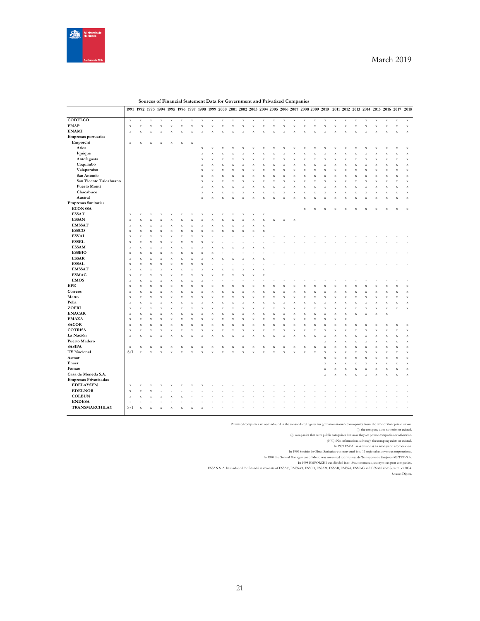

|                        |                            |             | 1991 1992 1993 1994 1995 1996 1997 1998 1999 2000 2001 2002 2003 2004 2005 2006 2007 2008 2009 2010 |                    |                           |             |                    |                    |             |                           |                           |              |           |                         |             |                           |             |           |                    |                    |             |             | 2011 2012 2013 2014 2015 2016 2017 2018 |             |             |                    |                           |             |
|------------------------|----------------------------|-------------|-----------------------------------------------------------------------------------------------------|--------------------|---------------------------|-------------|--------------------|--------------------|-------------|---------------------------|---------------------------|--------------|-----------|-------------------------|-------------|---------------------------|-------------|-----------|--------------------|--------------------|-------------|-------------|-----------------------------------------|-------------|-------------|--------------------|---------------------------|-------------|
|                        |                            |             |                                                                                                     |                    |                           |             |                    |                    |             |                           |                           |              |           |                         |             |                           |             |           |                    |                    |             |             |                                         |             |             |                    |                           |             |
| CODELCO                | $\mathbf x$                | X           | X                                                                                                   | $\mathbf x$        | $\boldsymbol{\mathrm{X}}$ | X           | X                  | X                  | X           | $\boldsymbol{\mathrm{X}}$ | $\boldsymbol{\mathrm{X}}$ | X            | X         | $\bf x$                 | $\mathbf x$ | $\boldsymbol{\mathrm{X}}$ | $\mathbf x$ | X         | $\mathbf x$        | $\bf x$            | $\mathbf x$ | X           | X                                       | $\mathbf x$ | $\bf x$     | $\mathbf x$        | $\mathbf x$               | $\mathbf x$ |
| <b>ENAP</b>            | $\mathbf x$                | $\mathbf x$ | X                                                                                                   | X                  | $\mathbf x$               | $\mathbf x$ | $\mathbf x$        | X                  | $\mathbf X$ | $\mathbf x$               | $\mathbf x$               | $\mathbf x$  | X         | $\mathbf x$             | $\mathbf x$ | $\mathbf x$               | $\mathbf x$ | X         | $\mathbf x$        | $\mathbf x$        | $\mathbf x$ | $\mathbf x$ | x                                       | $\mathbf X$ | $\mathbf x$ | $\mathbf x$        | $\mathbf x$               | $\mathbf x$ |
| <b>ENAMI</b>           | $\mathbf x$                | $\mathbf X$ | $\bar{x}$                                                                                           | $\bar{x}$          | x                         | $\bar{X}$   | $\bar{x}$          | $\bar{\mathbf{x}}$ | X           | X                         | x                         | $\bar{x}$    |           | $\bar{x}$               | $\bar{x}$   | x                         | $\bar{x}$   |           | $\bar{x}$          | $\bar{x}$          | $\bar{x}$   | $\bar{x}$   |                                         | $\bar{x}$   | $\bar{x}$   | x                  | $\mathbf x$               | $\mathbf x$ |
| Empresas portuarias    |                            |             |                                                                                                     |                    |                           |             |                    |                    |             |                           |                           |              |           |                         |             |                           |             |           |                    |                    |             |             |                                         |             |             |                    |                           |             |
| Emporchi               | $\mathbf x$                | X           | X                                                                                                   | X                  | $\bf x$                   | $\bf x$     | $\bf x$            |                    |             |                           |                           |              |           |                         |             |                           |             |           |                    |                    |             |             |                                         |             |             |                    |                           |             |
| Arica                  |                            |             |                                                                                                     |                    |                           |             |                    | $\mathbf x$        | $\bar{x}$   | $\bf x$                   | $\boldsymbol{\mathrm{X}}$ | X            | X         | X                       | X           | $\bf x$                   | $\mathbf x$ | X         | X                  | X                  | $\bf x$     | $\bf x$     | x                                       | X           | X           | X                  | $\mathbf x$               | $\mathbf x$ |
| Iquique                |                            |             |                                                                                                     |                    |                           |             |                    | $\bf x$            | X           | X                         | $\boldsymbol{\mathrm{x}}$ | X            | X         | X                       | X           | X                         | $\mathbf X$ | x         | X                  | X                  | $\bf x$     | X           | x                                       | X           | X           | $\bar{\mathbf{x}}$ | $\mathbf x$               | $\mathbf x$ |
| Antofagasta            |                            |             |                                                                                                     |                    |                           |             |                    | $\mathbf x$        | $\bar{x}$   | $\bar{x}$                 | $\bf x$                   | $\mathbf x$  | X         | X                       | X           | $\bar{x}$                 | $\mathbf X$ | X         | $\bf x$            | $\bar{x}$          | $\bar{x}$   | $\mathbf x$ | $\bf x$                                 | $\mathbf X$ | $\bar{x}$   | $\bar{x}$          | $\mathbf x$               | $\mathbf x$ |
| Coquimbo               |                            |             |                                                                                                     |                    |                           |             |                    | $\mathbf x$        | $\bar{x}$   | $\bf x$                   | $\mathbf x$               | $\mathbf{x}$ | X         | $\bf x$                 | $\bar{X}$   | $\bar{x}$                 | $\mathbf X$ | X         | $\mathbf x$        | $\bar{x}$          | $\bf x$     | $\mathbf x$ | X                                       | $\bf x$     | $\bar{x}$   | $\bar{\mathbf{x}}$ | $\mathbf x$               | $\mathbf x$ |
| Valaparaíso            |                            |             |                                                                                                     |                    |                           |             |                    | $\bar{X}$          | X           | X                         | $\bar{x}$                 | $\bar{x}$    | $\bar{x}$ | $\overline{\mathbf{x}}$ | $\bar{x}$   | $\bar{x}$                 | $\bar{x}$   |           | $\bar{x}$          | $\bar{x}$          | $\bar{x}$   | $\bar{x}$   |                                         | $\bar{x}$   | $\bar{x}$   | x                  | $\mathbf x$               | $\bar{x}$   |
| San Antonio            |                            |             |                                                                                                     |                    |                           |             |                    | $\mathbf x$        | $\bar{x}$   | $\bar{x}$                 | $\bf x$                   | $\mathbf x$  | X         | $\bar{X}$               | $\bar{X}$   | $\bf x$                   | $\mathbf x$ | X         | $\bf x$            | $\bar{x}$          | $\bar{X}$   | $\mathbf x$ | X                                       | $\mathbf x$ | $\bar{x}$   | $\bar{x}$          | $\mathbf x$               | $\mathbf x$ |
| San Vicente Talcahuano |                            |             |                                                                                                     |                    |                           |             |                    | X                  | X           | X                         | $\boldsymbol{\mathrm{x}}$ | $\mathbf x$  | X         | X                       | X           | X                         | $\mathbf x$ | X         | $\mathbf x$        | X                  | $\bf x$     | $\mathbf x$ | X                                       | $\mathbf x$ | X           | X                  | $\mathbf x$               | $\mathbf x$ |
| <b>Puerto Montt</b>    |                            |             |                                                                                                     |                    |                           |             |                    | $\bf x$            | $\bf x$     | $\bf x$                   | $\bf{X}$                  | $\bf x$      | X         | $\bar{X}$               | X           | $\bf{X}$                  | $\mathbf X$ | X         | $\bf{X}$           | $\bar{\mathbf{x}}$ | $\bar{x}$   | $\mathbf x$ | X                                       | $\bf x$     | $\bf x$     | $\bar{x}$          | $\mathbf x$               | X           |
| Chacabuco              |                            |             |                                                                                                     |                    |                           |             |                    | $\bf x$            | $\bar{x}$   | $\bf x$                   | $\bf x$                   | $\mathbf{x}$ | x         | $\bf x$                 | $\bar{X}$   | $\bf x$                   | $\bf x$     | x         | $\bf x$            | $\bar{X}$          | $\bf x$     | $\mathbf x$ | x                                       | $\bf x$     | $\bar{x}$   | $\bar{X}$          | $\mathbf x$               | $\mathbf x$ |
| Austral                |                            |             |                                                                                                     |                    |                           |             |                    | $\mathbf x$        | X           | $\bf x$                   | $\bf{x}$                  | $\mathbf x$  | $\bar{x}$ | $\bf x$                 | $\bar{x}$   | $\bar{x}$                 | $\mathbf x$ | $\bar{x}$ | $\bf x$            | $\bar{x}$          | $\bar{X}$   | $\mathbf x$ | $\bf x$                                 | $\mathbf x$ | $\bar{x}$   | X                  | $\mathbf x$               | $\mathbf x$ |
| Empresas Sanitarias    |                            |             |                                                                                                     |                    |                           |             |                    |                    |             |                           |                           |              |           |                         |             |                           |             |           |                    |                    |             |             |                                         |             |             |                    |                           |             |
| <b>ECONSSA</b>         |                            |             |                                                                                                     |                    |                           |             |                    |                    |             |                           |                           |              |           |                         |             |                           |             | X         | X                  | X                  | X           | Х           | X                                       | X           | X           | X                  | $\boldsymbol{\mathrm{x}}$ | $\mathbf x$ |
| <b>ESSAT</b>           | $\mathbf x$                | $\mathbf X$ | X                                                                                                   | X                  | X                         | х           | X                  | X                  | Χ           | X                         | $\bf x$                   | X            | X         | X                       |             |                           |             |           |                    |                    |             |             |                                         |             |             |                    |                           |             |
| <b>ESSAN</b>           |                            | $\mathbf x$ |                                                                                                     | X                  | $\bf x$                   | $\bf x$     | $\mathbf x$        | X                  | $\bar{x}$   | $\bar{x}$                 | $\bf x$                   | $\mathbf x$  | X         | $\mathbf x$             | X           |                           |             |           |                    |                    |             |             |                                         |             |             |                    |                           |             |
| <b>EMSSAT</b>          | $\mathbf x$<br>$\mathbf x$ | $\mathbf x$ | X<br>$\bf{X}$                                                                                       | X                  | $\bf{X}$                  | $\bf x$     | $\mathbf x$        | $\bf x$            | $\bar{x}$   | $\bar{x}$                 | $\bf x$                   | $\mathbf x$  | $\bar{X}$ | X                       |             | $\mathbf x$               | $\mathbf x$ |           |                    |                    |             |             |                                         |             |             |                    |                           |             |
| <b>ESSCO</b>           | $\mathbf x$                | $\mathbf x$ | $\bf x$                                                                                             | X                  | $\bf x$                   | X           | $\mathbf x$        | X                  | $\bar{x}$   | x                         | $\bar{x}$                 | $\bf x$      | $\bar{x}$ | $\bar{X}$               |             |                           |             |           |                    |                    |             |             |                                         |             |             |                    |                           |             |
| <b>ESVAL</b>           |                            |             |                                                                                                     |                    |                           |             |                    |                    |             |                           |                           |              |           |                         |             |                           |             |           |                    |                    |             |             |                                         |             |             |                    |                           |             |
| <b>ESSEL</b>           | $\mathbf x$                | $\mathbf x$ | X                                                                                                   | X                  | X                         | X           | $\mathbf x$        | X                  |             |                           |                           |              |           |                         |             |                           |             |           |                    |                    |             |             |                                         |             |             |                    |                           |             |
| <b>ESSAM</b>           | $\mathbf x$                | $\mathbf X$ | $\bf{X}$                                                                                            | X                  | X                         | $\bf x$     | $\bar{\mathbf{x}}$ | $\bar{\mathbf{x}}$ | X           |                           |                           |              |           |                         |             |                           |             |           |                    |                    |             |             |                                         |             |             |                    |                           |             |
|                        | $\mathbf x$                | $\mathbf X$ | $\bf x$                                                                                             | $\bar{x}$          | $\bf x$                   | $\bf x$     | $\mathbf x$        | X                  | X           |                           |                           |              |           |                         |             |                           |             |           |                    |                    |             |             |                                         |             |             |                    |                           |             |
| <b>ESSBIO</b>          | $\mathbf x$                | $\mathbf x$ | $\bf{X}$                                                                                            | X                  | $\bf{X}$                  | $\mathbf x$ | $\mathbf x$        | $\bar{X}$          | $\bar{x}$   |                           |                           |              |           |                         |             |                           |             |           |                    |                    |             |             |                                         |             |             |                    |                           |             |
| <b>ESSAR</b>           | $\mathbf x$                | $\mathbf X$ | $\bf x$                                                                                             | X                  | $\bf x$                   | X           | $\mathbf x$        | $\bf x$            | X           | x                         |                           | X            |           | x                       |             |                           |             |           |                    |                    |             |             |                                         |             |             |                    |                           |             |
| <b>ESSAL</b>           | $\mathbf x$                | $\bf x$     | $\bf x$                                                                                             | X                  | X                         | $\bf x$     | $\bf x$            | X                  |             |                           |                           |              |           |                         |             |                           |             |           |                    |                    |             |             |                                         |             |             |                    |                           |             |
| <b>EMSSAT</b>          | $\mathbf x$                | $\mathbf x$ | $\bf{X}$                                                                                            | X                  | $\bf{X}$                  | $\mathbf x$ | $\mathbf x$        | $\bar{X}$          | $\bf x$     | $\bf x$                   | X                         | $\bf{X}$     | X         | $\bf x$                 |             |                           |             |           |                    |                    |             |             |                                         |             |             |                    |                           |             |
| <b>ESMAG</b>           | $\mathbf x$                | $\mathbf x$ | $\bf x$                                                                                             | $\bar{x}$          | $\bar{x}$                 | $\bf x$     | $\mathbf x$        | $\bf x$            | $\bar{x}$   | $\bar{x}$                 | X                         | $\bf x$      | X         | $\bar{x}$               |             |                           |             |           |                    |                    |             |             |                                         |             |             |                    |                           |             |
| <b>EMOS</b>            | $\mathbf x$                | $\mathbf X$ | $\bar{X}$                                                                                           | $\bar{\mathbf{x}}$ | $\bf{X}$                  | $\bf x$     | $\bar{x}$          | ÿ                  |             |                           |                           |              |           |                         |             |                           |             |           |                    |                    |             |             |                                         |             |             |                    |                           |             |
| <b>EFE</b>             | $\mathbf x$                | $\mathbf x$ | $\bf x$                                                                                             | X                  | $\bf x$                   | $\mathbf x$ | $\mathbf x$        | $\bf x$            | $\bar{x}$   | $\bar{x}$                 | $\bf x$                   | $\bf x$      | X         | $\bar{X}$               | x           | X                         | $\bf x$     | x         | $\bf x$            | $\bar{x}$          | $\bar{X}$   | $\bf x$     | x                                       | $\bf x$     | X           | $\bar{x}$          | $\bf x$                   | $\bf x$     |
| Correos                | $\mathbf x$                | $\mathbf x$ | X                                                                                                   | X                  | X                         | X           | $\mathbf x$        | X                  | X           | $\bf x$                   | X                         | X            | X         | X                       | X           | $\bf x$                   | $\mathbf x$ | X         | X                  | X                  | X           | X           | X                                       | X           | X           | X                  | $\mathbf x$               | $\mathbf x$ |
| Metro                  | $\mathbf x$                | $\mathbf X$ | X                                                                                                   | $\bar{\mathbf{x}}$ | X                         | $\bf x$     | X                  | X                  | $\bf x$     | x                         | X                         | $\bf{X}$     | X         | X                       | X           | $\bf x$                   | $\bf{X}$    |           | $\bar{\mathbf{x}}$ | $\bar{\mathbf{x}}$ | $\bf x$     | $\bf x$     |                                         | $\bf x$     | $\bar{x}$   | $\bar{\mathbf{x}}$ | $\mathbf x$               | $\mathbf x$ |
| Polla                  | $\mathbf x$                | $\mathbf x$ | $\bf x$                                                                                             | $\bar{x}$          | $\bf x$                   | $\bf x$     | $\mathbf x$        | $\bf x$            | $\bar{x}$   | $\bar{x}$                 | X                         | $\bf x$      | X         | $\bar{X}$               | $\bar{X}$   | $\bf x$                   | $\bf x$     | х         | $\bf x$            | $\bar{x}$          | X           | $\bf x$     | x                                       | $\bf x$     | $\bar{x}$   | $\bar{X}$          | $\bf x$                   | $\mathbf x$ |
| ZOFRI                  | $\mathbf x$                | $\mathbf x$ | $\bf{X}$                                                                                            | X                  | $\bf{X}$                  | $\mathbf x$ | $\mathbf x$        | $\bf x$            | $\bf x$     | $\bf{X}$                  | $\bf{X}$                  | $\mathbf x$  | X         | X                       | $\bf x$     | $\bf{X}$                  | $\mathbf X$ | X         | $\bf{X}$           | $\bar{x}$          | $\bar{X}$   | $\mathbf x$ | $\bf x$                                 | $\mathbf X$ | $\bf x$     | $\bar{\mathbf{x}}$ | $\mathbf x$               | $\mathbf x$ |
| <b>ENACAR</b>          | $\mathbf x$                | $\mathbf x$ | $\bf x$                                                                                             | $\bar{x}$          | $\bf x$                   | $\bf x$     | $\mathbf x$        | $\bf x$            | $\bar{x}$   | $\bar{x}$                 | $\bf x$                   | $\mathbf x$  | $\bar{x}$ | $\bar{X}$               | $\bar{X}$   | $\bf x$                   | $\mathbf x$ | X         | $\bf x$            | $\bar{x}$          | $\bar{X}$   | $\mathbf x$ | $\bf x$                                 | $\bf x$     | $\bar{x}$   | $\bar{X}$          |                           |             |
| <b>EMAZA</b>           | $\mathbf x$                | $\bf x$     | X                                                                                                   | X                  | X                         | X           | $\bf x$            | X                  | $\bar{x}$   | X                         | X                         | X            | х         | X                       | X           | $\bf x$                   | $\bf x$     | х         | $\bf x$            | X                  | X           | $\bf x$     |                                         |             |             |                    |                           |             |
| <b>SACOR</b>           | $\mathbf x$                | $\mathbf X$ | X                                                                                                   | $\bar{\mathbf{x}}$ | X                         | $\bf x$     | X                  | $\bf x$            | $\bf x$     | $\bf x$                   | X                         | $\mathbf X$  | X         | $\bf x$                 | X           | $\bf x$                   | $\mathbf X$ | X         | $\bf{X}$           | $\bar{\mathbf{x}}$ | X           | $\mathbf x$ |                                         | X           | X           | X                  | $\mathbf x$               | $\mathbf x$ |
| <b>COTRISA</b>         | $\mathbf x$                | $\mathbf x$ | $\bf x$                                                                                             | $\bar{x}$          | $\bf{X}$                  | X           | $\mathbf x$        | $\bf x$            | $\bar{x}$   | $\bf{X}$                  | $\boldsymbol{\mathrm{X}}$ | $\mathbf x$  | X         | $\bar{X}$               | $\bf x$     | $\bf x$                   | $\mathbf X$ | х         | $\bf x$            | $\bar{x}$          | $\bf x$     | $\bf x$     | x                                       | $\bar{x}$   | $\bar{x}$   | $\bar{x}$          | $\mathbf x$               | $\mathbf x$ |
| La Nación              | $\mathbf x$                | $\mathbf X$ | $\bar{X}$                                                                                           | $\bar{x}$          | $\bar{x}$                 | X           | $\bf x$            | X                  | $\bar{x}$   | $\bar{x}$                 | $\bf x$                   | $\bf{X}$     | $\bar{x}$ | $\bar{\mathbf{x}}$      | $\bar{x}$   | $\bar{x}$                 | $\bf x$     | x         | $\bar{x}$          | $\bar{x}$          | $\bf x$     | $\bf x$     | X                                       | $\bf x$     | $\bf x$     | $\mathbf x$        | $\mathbf x$               | $\mathbf x$ |
| Puerto Madero          |                            |             |                                                                                                     |                    |                           |             |                    |                    |             |                           |                           |              |           |                         |             |                           |             |           |                    | $\bar{x}$          | $\bf x$     | $\mathbf x$ | $\bf x$                                 | $\bf x$     | $\bar{x}$   | $\bar{x}$          | $\mathbf x$               | $\mathbf x$ |
| <b>SASIPA</b>          | $\mathbf x$                | X           | N                                                                                                   | X                  | X                         | X           | x                  | х                  | X           | х                         | X                         | X            | X         | х                       | х           | X                         | $\bf x$     | х         | X                  | $\bar{x}$          | $\bf x$     | $\bf x$     | x                                       | X           | X           | $\bar{X}$          | $\mathbf x$               | $\mathbf x$ |
| <b>TV Nacional</b>     | S/I                        | $\mathbf X$ | X                                                                                                   | $\bar{x}$          | X                         | X           | X                  |                    | X           | $\bf x$                   | $\bf x$                   | $\bf{X}$     | X         | X                       | X           | $\bf{X}$                  | $\bf{X}$    |           | $\bar{x}$          | $\bar{x}$          | $\bf x$     | $\bf x$     |                                         | X           | X           | $\bar{\mathbf{x}}$ | $\mathbf x$               | X           |
| Asmar                  |                            |             |                                                                                                     |                    |                           |             |                    |                    |             |                           |                           |              |           |                         |             |                           |             |           |                    | $\bar{x}$          | $\bf x$     | $\bf x$     | x                                       | $\bf x$     | $\bar{x}$   | $\bar{X}$          | $\bf x$                   | $\bf x$     |
| Enaer                  |                            |             |                                                                                                     |                    |                           |             |                    |                    |             |                           |                           |              |           |                         |             |                           |             |           |                    | $\bf x$            | $\bf x$     | $\mathbf x$ | $\bf x$                                 | $\mathbf X$ | $\bf x$     | $\mathbf x$        | $\mathbf x$               | $\mathbf x$ |
| Famae                  |                            |             |                                                                                                     |                    |                           |             |                    |                    |             |                           |                           |              |           |                         |             |                           |             |           |                    | $\bar{x}$          | $\bar{X}$   | $\bf x$     |                                         | $\bar{x}$   | $\bar{x}$   | $\bar{x}$          | $\mathbf x$               | $\mathbf x$ |
| Casa de Moneda S.A.    |                            |             |                                                                                                     |                    |                           |             |                    |                    |             |                           |                           |              |           |                         |             |                           |             |           |                    | $\bar{X}$          | $\bf x$     | X           | x                                       | X           | X           | $\bf x$            | $\bf x$                   | $\bf x$     |
| Empresas Privatizadas  |                            |             |                                                                                                     |                    |                           |             |                    |                    |             |                           |                           |              |           |                         |             |                           |             |           |                    |                    |             |             |                                         |             |             |                    |                           |             |
| <b>EDELAYSEN</b>       | $\mathbf x$                | $\mathbf X$ | х                                                                                                   | X                  | X                         |             | x                  |                    |             |                           |                           |              |           |                         |             |                           |             |           |                    |                    |             |             |                                         |             |             |                    |                           |             |
| <b>EDELNOR</b>         | $\mathbf x$                | $\mathbf x$ | $\boldsymbol{\mathbf{x}}$                                                                           |                    |                           |             |                    |                    |             |                           |                           |              |           |                         |             |                           |             |           |                    |                    |             |             |                                         |             |             |                    |                           |             |
| <b>COLBUN</b>          | $\mathbf x$                | X           | $\bar{x}$                                                                                           | x                  |                           |             |                    |                    |             |                           |                           |              |           |                         |             |                           |             |           |                    |                    |             |             |                                         |             |             |                    |                           |             |
| <b>ENDESA</b>          |                            |             |                                                                                                     |                    |                           |             |                    |                    |             |                           |                           |              |           |                         |             |                           |             |           |                    |                    |             |             |                                         |             |             |                    |                           |             |
| TRANSMARCHILAY         | S/I                        | $\bf x$     |                                                                                                     |                    |                           |             |                    |                    |             |                           |                           |              |           |                         |             |                           |             |           |                    |                    |             |             |                                         |             |             |                    |                           |             |
|                        |                            |             |                                                                                                     |                    |                           |             |                    |                    |             |                           |                           |              |           |                         |             |                           |             |           |                    |                    |             |             |                                         |             |             |                    |                           |             |

**Sources of Financial Statement Data for Government and Privatized Companies**

Privatized companies are not included in the consolidated figures for government-owned companies from the time of their privatization.

( ): the company does not exist or existed.

(-): companies that were public enterprises but now they are private companies or otherwise. (N/I): No information, although the company exists or existed.

In 1999 EeVAL was exated as an anonymous comporation.<br>In 1990 the General Management of Metro was converted into 11 regional anonymous comporations.<br>In 1990 the General Management of Metro was converted to Empress de Trans

Source: Dipres.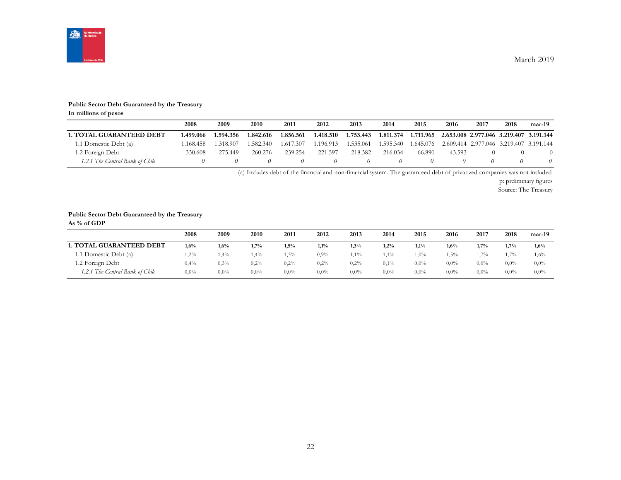

#### **Public Sector Debt Guaranteed by the Treasury**

**In millions of pesos**

|                                 | 2008      | 2009      | 2010      | 2011      | 2012      | 2013      | 2014      | 2015      | 2016                                              | 2017 | 2018 | $mar-19$ |
|---------------------------------|-----------|-----------|-----------|-----------|-----------|-----------|-----------|-----------|---------------------------------------------------|------|------|----------|
| <b>1. TOTAL GUARANTEED DEBT</b> | 1.499.066 | 1.594.356 | 1.842.616 | 1.856.561 | 1.418.510 | 1.753.443 | 1.811.374 | 1.711.965 | 2.653.008 2.977.046 3.219.407 3.191.144           |      |      |          |
| 1.1 Domestic Debt (a)           | 1.168.458 | 1.318.907 | 1.582.340 | 1.617.307 | 1.196.913 | 1.535.061 | 1.595.340 |           | 1.645.076 2.609.414 2.977.046 3.219.407 3.191.144 |      |      |          |
| 1.2 Foreign Debt                | 330.608   | 275.449   | 260.276   | 239.254   | 221.597   | 218.382   | 216.034   | 66.890    | 43.593                                            |      |      |          |
| 1.2.1 The Central Bank of Chile |           |           |           |           |           |           |           |           |                                                   |      |      |          |

(a) Includes debt of the financial and non-financial system. The guaranteed debt of privatized companies was not included

p: preliminary figures

Source: The Treasury

#### **Public Sector Debt Guaranteed by the Treasury**

**As % of GDP**

|                                 | 2008    | 2009    | 2010    | 2011    | 2012    | 2013    | 2014    | 2015    | 2016    | 2017    | 2018    | mar-19  |
|---------------------------------|---------|---------|---------|---------|---------|---------|---------|---------|---------|---------|---------|---------|
| <b>1. TOTAL GUARANTEED DEBT</b> | 1.6%    | 1,6%    | 1,7%    | 1,5%    | 1,1%    | 1,3%    | 1,2%    | 1,1%    | 1,6%    | 1.7%    | 1.7%    | 1,6%    |
| 1.1 Domestic Debt (a)           | 1,2%    | 1,4%    | 1,4%    | 1,3%    | $0.9\%$ | 1,1%    | $1\%$   | $1,0\%$ | 1,5%    | $.7\%$  | 1,7%    | 1,6%    |
| 1.2 Foreign Debt                | 0,4%    | $0.3\%$ | 0,2%    | 0,2%    | 0,2%    | 0.2%    | $0.1\%$ | $0.0\%$ | $0.0\%$ | $0.0\%$ | $0.0\%$ | $0,0\%$ |
| 1.2.1 The Central Bank of Chile | $0.0\%$ | $0.0\%$ | $0.0\%$ | $0.0\%$ | $0.0\%$ | $0.0\%$ | $0.0\%$ | $0.0\%$ | $0.0\%$ | $0.0\%$ | $0.0\%$ | $0,0\%$ |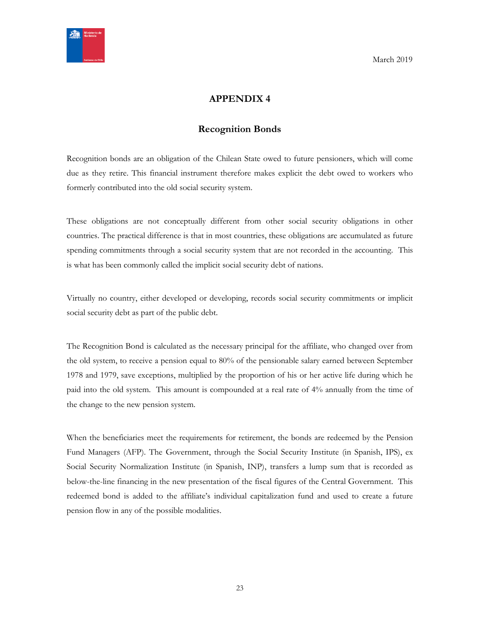<span id="page-22-0"></span>

## **APPENDIX 4**

#### **Recognition Bonds**

<span id="page-22-1"></span>Recognition bonds are an obligation of the Chilean State owed to future pensioners, which will come due as they retire. This financial instrument therefore makes explicit the debt owed to workers who formerly contributed into the old social security system.

These obligations are not conceptually different from other social security obligations in other countries. The practical difference is that in most countries, these obligations are accumulated as future spending commitments through a social security system that are not recorded in the accounting. This is what has been commonly called the implicit social security debt of nations.

Virtually no country, either developed or developing, records social security commitments or implicit social security debt as part of the public debt.

The Recognition Bond is calculated as the necessary principal for the affiliate, who changed over from the old system, to receive a pension equal to 80% of the pensionable salary earned between September 1978 and 1979, save exceptions, multiplied by the proportion of his or her active life during which he paid into the old system. This amount is compounded at a real rate of 4% annually from the time of the change to the new pension system.

When the beneficiaries meet the requirements for retirement, the bonds are redeemed by the Pension Fund Managers (AFP). The Government, through the Social Security Institute (in Spanish, IPS), ex Social Security Normalization Institute (in Spanish, INP), transfers a lump sum that is recorded as below-the-line financing in the new presentation of the fiscal figures of the Central Government. This redeemed bond is added to the affiliate's individual capitalization fund and used to create a future pension flow in any of the possible modalities.